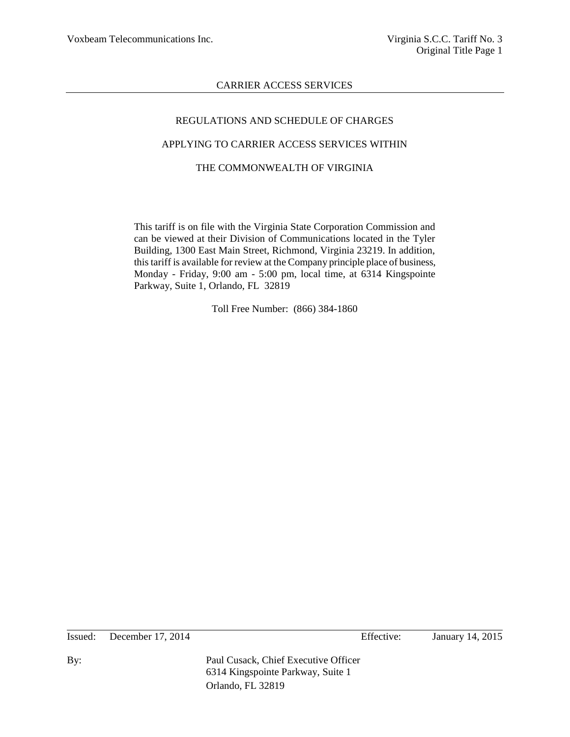# REGULATIONS AND SCHEDULE OF CHARGES APPLYING TO CARRIER ACCESS SERVICES WITHIN THE COMMONWEALTH OF VIRGINIA

This tariff is on file with the Virginia State Corporation Commission and can be viewed at their Division of Communications located in the Tyler Building, 1300 East Main Street, Richmond, Virginia 23219. In addition, this tariff is available for review at the Company principle place of business, Monday - Friday, 9:00 am - 5:00 pm, local time, at 6314 Kingspointe Parkway, Suite 1, Orlando, FL 32819

Toll Free Number: (866) 384-1860

Issued: December 17, 2014 Effective: January 14, 2015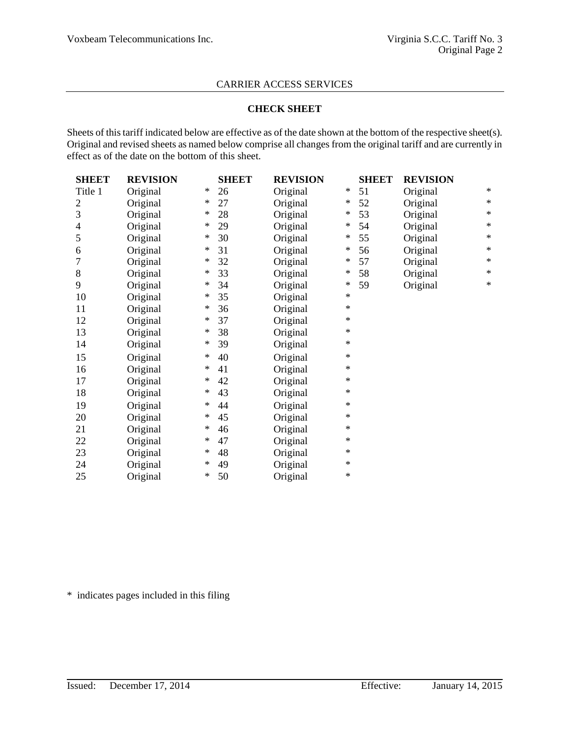#### **CHECK SHEET**

Sheets of this tariff indicated below are effective as of the date shown at the bottom of the respective sheet(s). Original and revised sheets as named below comprise all changes from the original tariff and are currently in effect as of the date on the bottom of this sheet.

| <b>SHEET</b>   | <b>REVISION</b> |        | <b>SHEET</b> | <b>REVISION</b> |        | <b>SHEET</b> | <b>REVISION</b> |        |
|----------------|-----------------|--------|--------------|-----------------|--------|--------------|-----------------|--------|
| Title 1        | Original        | ∗      | 26           | Original        | $\ast$ | 51           | Original        | $\ast$ |
| $\mathfrak{2}$ | Original        | ∗      | 27           | Original        | ∗      | 52           | Original        | $\ast$ |
| 3              | Original        | ∗      | 28           | Original        | $\ast$ | 53           | Original        | $\ast$ |
| 4              | Original        | ∗      | 29           | Original        | $\ast$ | 54           | Original        | $\ast$ |
| 5              | Original        | ∗      | 30           | Original        | $\ast$ | 55           | Original        | $\ast$ |
| 6              | Original        | ∗      | 31           | Original        | $\ast$ | 56           | Original        | $\ast$ |
| 7              | Original        | $\ast$ | 32           | Original        | $\ast$ | 57           | Original        | $\ast$ |
| $8\,$          | Original        | ∗      | 33           | Original        | $\ast$ | 58           | Original        | $\ast$ |
| 9              | Original        | ∗      | 34           | Original        | $\ast$ | 59           | Original        | $\ast$ |
| 10             | Original        | ∗      | 35           | Original        | $\ast$ |              |                 |        |
| 11             | Original        | ∗      | 36           | Original        | $\ast$ |              |                 |        |
| 12             | Original        | ∗      | 37           | Original        | $\ast$ |              |                 |        |
| 13             | Original        | ∗      | 38           | Original        | $\ast$ |              |                 |        |
| 14             | Original        | ∗      | 39           | Original        | *      |              |                 |        |
| 15             | Original        | ∗      | 40           | Original        | $\ast$ |              |                 |        |
| 16             | Original        | $\ast$ | 41           | Original        | $\ast$ |              |                 |        |
| 17             | Original        | $\ast$ | 42           | Original        | $\ast$ |              |                 |        |
| 18             | Original        | ∗      | 43           | Original        | $\ast$ |              |                 |        |
| 19             | Original        | ∗      | 44           | Original        | $\ast$ |              |                 |        |
| 20             | Original        | ∗      | 45           | Original        | $\ast$ |              |                 |        |
| 21             | Original        | ∗      | 46           | Original        | *      |              |                 |        |
| 22             | Original        | ∗      | 47           | Original        | $\ast$ |              |                 |        |
| 23             | Original        | ∗      | 48           | Original        | $\ast$ |              |                 |        |
| 24             | Original        | ∗      | 49           | Original        | $\ast$ |              |                 |        |
| 25             | Original        | $\ast$ | 50           | Original        | $\ast$ |              |                 |        |

\* indicates pages included in this filing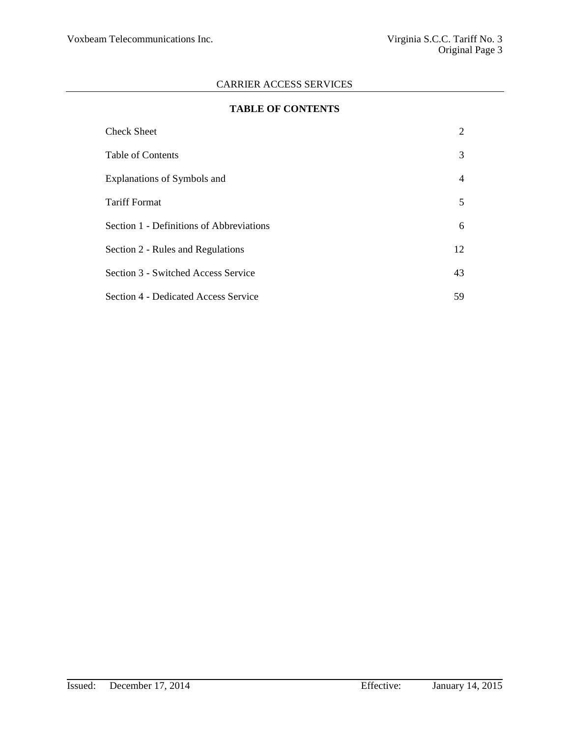### **TABLE OF CONTENTS**

| <b>Check Sheet</b>                       | 2  |
|------------------------------------------|----|
| Table of Contents                        | 3  |
| Explanations of Symbols and              | 4  |
| <b>Tariff Format</b>                     | 5  |
| Section 1 - Definitions of Abbreviations | 6  |
| Section 2 - Rules and Regulations        | 12 |
| Section 3 - Switched Access Service      | 43 |
| Section 4 - Dedicated Access Service     | 59 |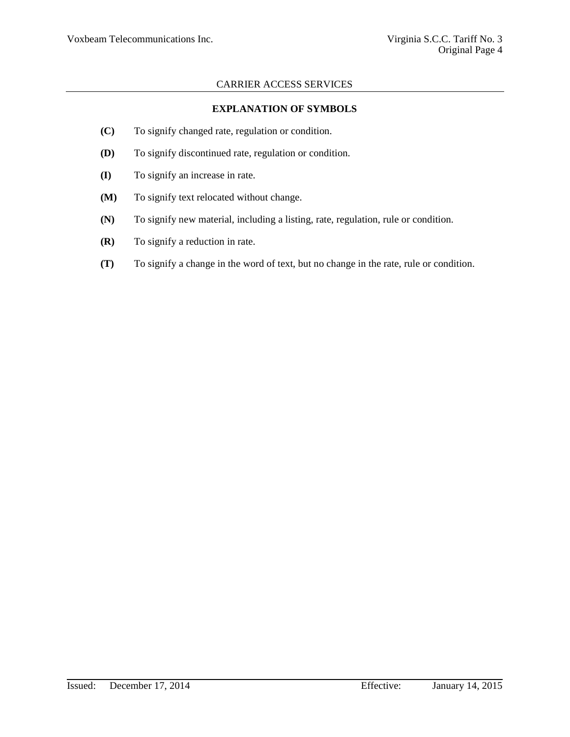## **EXPLANATION OF SYMBOLS**

- **(C)** To signify changed rate, regulation or condition.
- **(D)** To signify discontinued rate, regulation or condition.
- **(I)** To signify an increase in rate.
- **(M)** To signify text relocated without change.
- **(N)** To signify new material, including a listing, rate, regulation, rule or condition.
- **(R)** To signify a reduction in rate.
- **(T)** To signify a change in the word of text, but no change in the rate, rule or condition.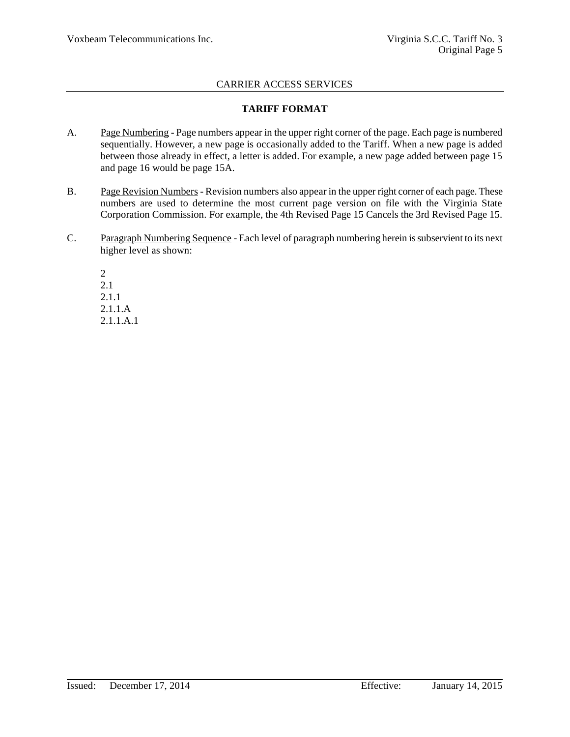### **TARIFF FORMAT**

- A. Page Numbering Page numbers appear in the upper right corner of the page. Each page is numbered sequentially. However, a new page is occasionally added to the Tariff. When a new page is added between those already in effect, a letter is added. For example, a new page added between page 15 and page 16 would be page 15A.
- B. Page Revision Numbers Revision numbers also appear in the upper right corner of each page. These numbers are used to determine the most current page version on file with the Virginia State Corporation Commission. For example, the 4th Revised Page 15 Cancels the 3rd Revised Page 15.
- C. Paragraph Numbering Sequence Each level of paragraph numbering herein is subservient to its next higher level as shown:

2 2.1 2.1.1 2.1.1.A 2.1.1.A.1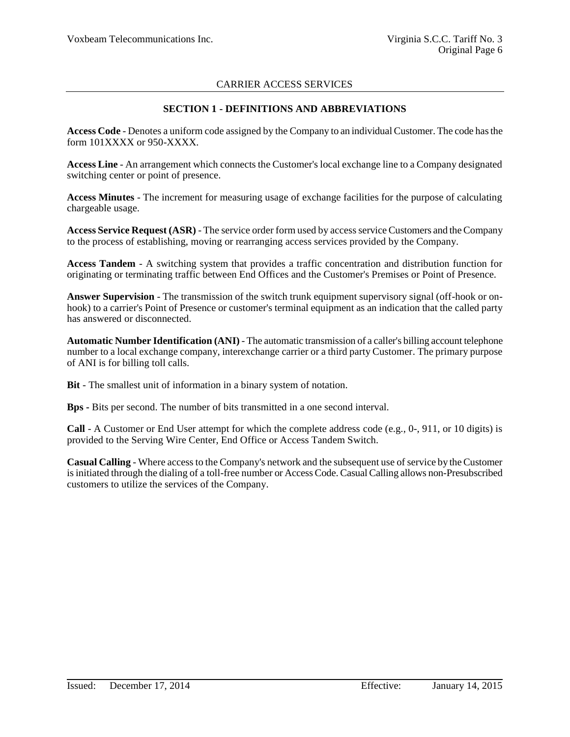### **SECTION 1 - DEFINITIONS AND ABBREVIATIONS**

**Access Code** - Denotes a uniform code assigned by the Company to an individual Customer. The code has the form 101XXXX or 950-XXXX.

**Access Line** - An arrangement which connects the Customer's local exchange line to a Company designated switching center or point of presence.

**Access Minutes** - The increment for measuring usage of exchange facilities for the purpose of calculating chargeable usage.

**Access Service Request (ASR)** - The service order form used by access service Customers and the Company to the process of establishing, moving or rearranging access services provided by the Company.

**Access Tandem** - A switching system that provides a traffic concentration and distribution function for originating or terminating traffic between End Offices and the Customer's Premises or Point of Presence.

**Answer Supervision** - The transmission of the switch trunk equipment supervisory signal (off-hook or onhook) to a carrier's Point of Presence or customer's terminal equipment as an indication that the called party has answered or disconnected.

**Automatic Number Identification (ANI)** - The automatic transmission of a caller's billing account telephone number to a local exchange company, interexchange carrier or a third party Customer. The primary purpose of ANI is for billing toll calls.

**Bit** - The smallest unit of information in a binary system of notation.

**Bps -** Bits per second. The number of bits transmitted in a one second interval.

**Call** - A Customer or End User attempt for which the complete address code (e.g., 0-, 911, or 10 digits) is provided to the Serving Wire Center, End Office or Access Tandem Switch.

**Casual Calling** - Where access to the Company's network and the subsequent use of service by the Customer is initiated through the dialing of a toll-free number or Access Code. Casual Calling allows non-Presubscribed customers to utilize the services of the Company.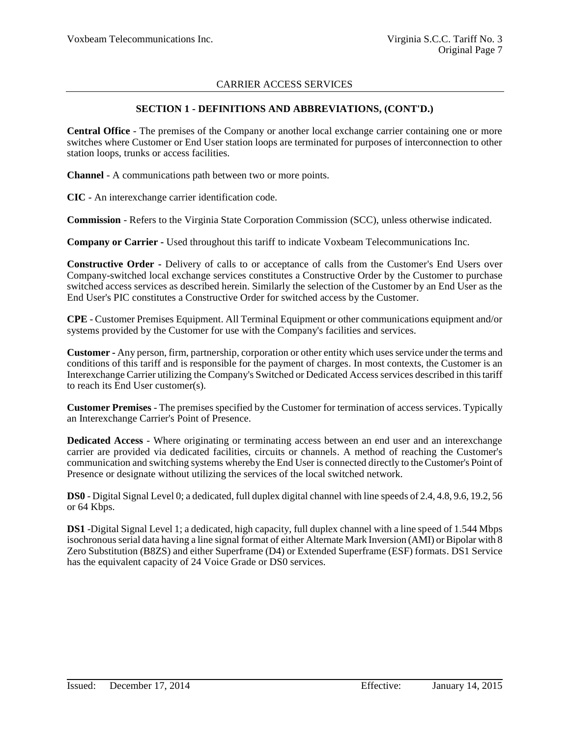### **SECTION 1 - DEFINITIONS AND ABBREVIATIONS, (CONT'D.)**

**Central Office** - The premises of the Company or another local exchange carrier containing one or more switches where Customer or End User station loops are terminated for purposes of interconnection to other station loops, trunks or access facilities.

**Channel** - A communications path between two or more points.

**CIC** - An interexchange carrier identification code.

**Commission** - Refers to the Virginia State Corporation Commission (SCC), unless otherwise indicated.

**Company or Carrier -** Used throughout this tariff to indicate Voxbeam Telecommunications Inc.

**Constructive Order -** Delivery of calls to or acceptance of calls from the Customer's End Users over Company-switched local exchange services constitutes a Constructive Order by the Customer to purchase switched access services as described herein. Similarly the selection of the Customer by an End User as the End User's PIC constitutes a Constructive Order for switched access by the Customer.

**CPE** - Customer Premises Equipment. All Terminal Equipment or other communications equipment and/or systems provided by the Customer for use with the Company's facilities and services.

**Customer -** Any person, firm, partnership, corporation or other entity which uses service under the terms and conditions of this tariff and is responsible for the payment of charges. In most contexts, the Customer is an Interexchange Carrier utilizing the Company's Switched or Dedicated Access services described in this tariff to reach its End User customer(s).

**Customer Premises** - The premises specified by the Customer for termination of access services. Typically an Interexchange Carrier's Point of Presence.

**Dedicated Access** - Where originating or terminating access between an end user and an interexchange carrier are provided via dedicated facilities, circuits or channels. A method of reaching the Customer's communication and switching systems whereby the End User is connected directly to the Customer's Point of Presence or designate without utilizing the services of the local switched network.

**DS0** - Digital Signal Level 0; a dedicated, full duplex digital channel with line speeds of 2.4, 4.8, 9.6, 19.2, 56 or 64 Kbps.

**DS1** -Digital Signal Level 1; a dedicated, high capacity, full duplex channel with a line speed of 1.544 Mbps isochronous serial data having a line signal format of either Alternate Mark Inversion (AMI) or Bipolar with 8 Zero Substitution (B8ZS) and either Superframe (D4) or Extended Superframe (ESF) formats. DS1 Service has the equivalent capacity of 24 Voice Grade or DS0 services.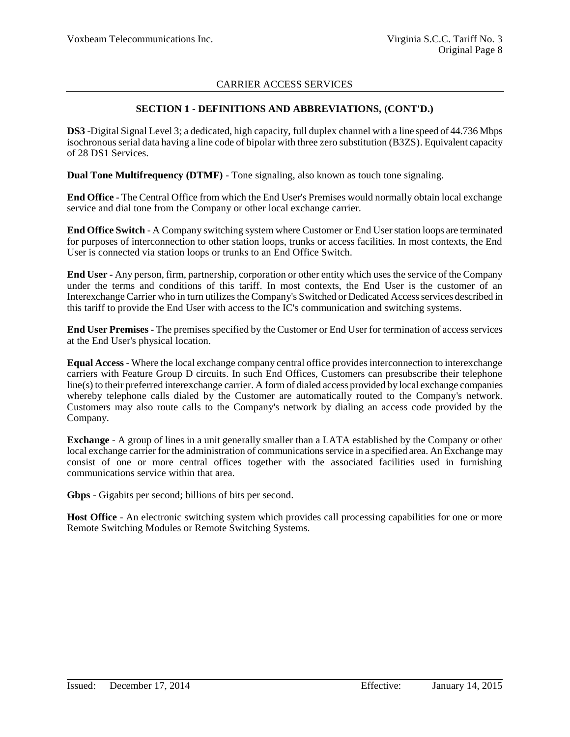### **SECTION 1 - DEFINITIONS AND ABBREVIATIONS, (CONT'D.)**

**DS3** -Digital Signal Level 3; a dedicated, high capacity, full duplex channel with a line speed of 44.736 Mbps isochronous serial data having a line code of bipolar with three zero substitution (B3ZS). Equivalent capacity of 28 DS1 Services.

**Dual Tone Multifrequency (DTMF)** - Tone signaling, also known as touch tone signaling.

**End Office** - The Central Office from which the End User's Premises would normally obtain local exchange service and dial tone from the Company or other local exchange carrier.

**End Office Switch** - A Company switching system where Customer or End User station loops are terminated for purposes of interconnection to other station loops, trunks or access facilities. In most contexts, the End User is connected via station loops or trunks to an End Office Switch.

**End User** - Any person, firm, partnership, corporation or other entity which uses the service of the Company under the terms and conditions of this tariff. In most contexts, the End User is the customer of an Interexchange Carrier who in turn utilizes the Company's Switched or Dedicated Access services described in this tariff to provide the End User with access to the IC's communication and switching systems.

**End User Premises** - The premises specified by the Customer or End User for termination of access services at the End User's physical location.

**Equal Access** - Where the local exchange company central office provides interconnection to interexchange carriers with Feature Group D circuits. In such End Offices, Customers can presubscribe their telephone line(s) to their preferred interexchange carrier. A form of dialed access provided by local exchange companies whereby telephone calls dialed by the Customer are automatically routed to the Company's network. Customers may also route calls to the Company's network by dialing an access code provided by the Company.

**Exchange** - A group of lines in a unit generally smaller than a LATA established by the Company or other local exchange carrier for the administration of communications service in a specified area. An Exchange may consist of one or more central offices together with the associated facilities used in furnishing communications service within that area.

**Gbps** - Gigabits per second; billions of bits per second.

Host Office - An electronic switching system which provides call processing capabilities for one or more Remote Switching Modules or Remote Switching Systems.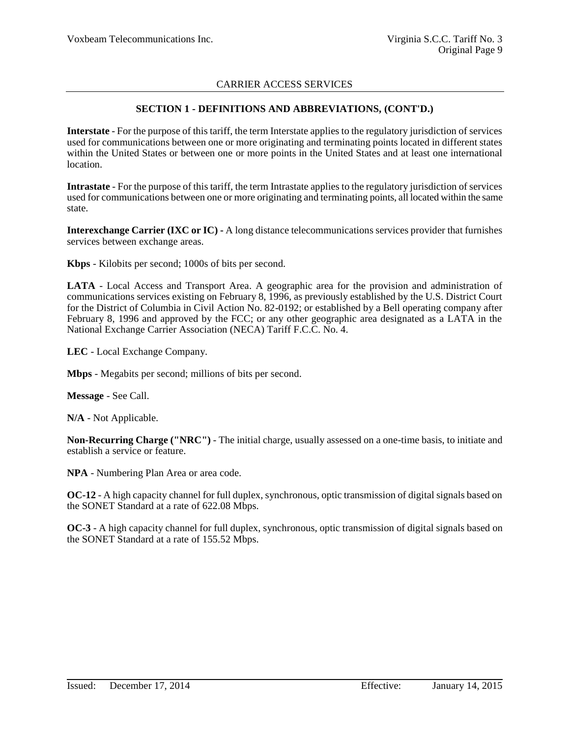### **SECTION 1 - DEFINITIONS AND ABBREVIATIONS, (CONT'D.)**

**Interstate** - For the purpose of this tariff, the term Interstate applies to the regulatory jurisdiction of services used for communications between one or more originating and terminating points located in different states within the United States or between one or more points in the United States and at least one international location.

**Intrastate** - For the purpose of this tariff, the term Intrastate applies to the regulatory jurisdiction of services used for communications between one or more originating and terminating points, all located within the same state.

**Interexchange Carrier (IXC or IC) -** A long distance telecommunications services provider that furnishes services between exchange areas.

**Kbps** - Kilobits per second; 1000s of bits per second.

**LATA** - Local Access and Transport Area. A geographic area for the provision and administration of communications services existing on February 8, 1996, as previously established by the U.S. District Court for the District of Columbia in Civil Action No. 82-0192; or established by a Bell operating company after February 8, 1996 and approved by the FCC; or any other geographic area designated as a LATA in the National Exchange Carrier Association (NECA) Tariff F.C.C. No. 4.

**LEC** - Local Exchange Company.

**Mbps** - Megabits per second; millions of bits per second.

**Message** - See Call.

**N/A** - Not Applicable.

**Non-Recurring Charge ("NRC")** - The initial charge, usually assessed on a one-time basis, to initiate and establish a service or feature.

**NPA** - Numbering Plan Area or area code.

**OC-12** - A high capacity channel for full duplex, synchronous, optic transmission of digital signals based on the SONET Standard at a rate of 622.08 Mbps.

**OC-3** - A high capacity channel for full duplex, synchronous, optic transmission of digital signals based on the SONET Standard at a rate of 155.52 Mbps.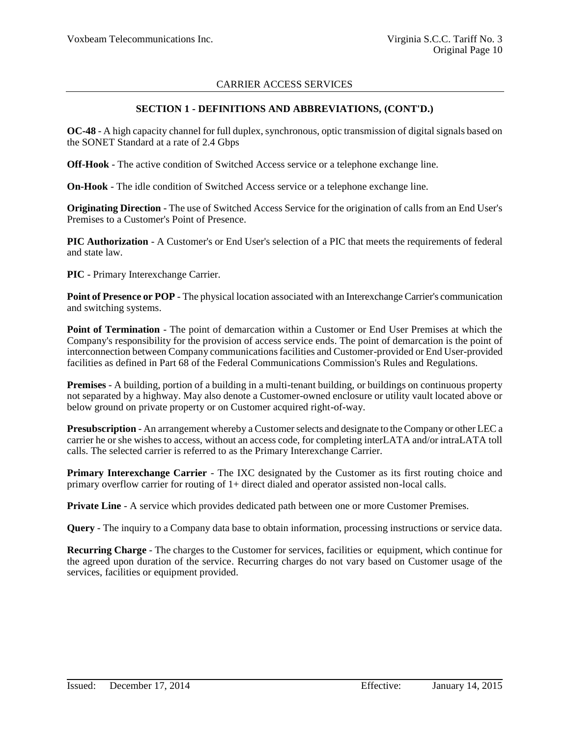#### **SECTION 1 - DEFINITIONS AND ABBREVIATIONS, (CONT'D.)**

**OC-48** - A high capacity channel for full duplex, synchronous, optic transmission of digital signals based on the SONET Standard at a rate of 2.4 Gbps

**Off-Hook** - The active condition of Switched Access service or a telephone exchange line.

**On-Hook** - The idle condition of Switched Access service or a telephone exchange line.

**Originating Direction** - The use of Switched Access Service for the origination of calls from an End User's Premises to a Customer's Point of Presence.

**PIC Authorization** - A Customer's or End User's selection of a PIC that meets the requirements of federal and state law.

**PIC** - Primary Interexchange Carrier.

**Point of Presence or POP** - The physical location associated with an Interexchange Carrier's communication and switching systems.

**Point of Termination** - The point of demarcation within a Customer or End User Premises at which the Company's responsibility for the provision of access service ends. The point of demarcation is the point of interconnection between Company communications facilities and Customer-provided or End User-provided facilities as defined in Part 68 of the Federal Communications Commission's Rules and Regulations.

**Premises** - A building, portion of a building in a multi-tenant building, or buildings on continuous property not separated by a highway. May also denote a Customer-owned enclosure or utility vault located above or below ground on private property or on Customer acquired right-of-way.

**Presubscription** - An arrangement whereby a Customer selects and designate to the Company or other LEC a carrier he or she wishes to access, without an access code, for completing interLATA and/or intraLATA toll calls. The selected carrier is referred to as the Primary Interexchange Carrier.

**Primary Interexchange Carrier** - The IXC designated by the Customer as its first routing choice and primary overflow carrier for routing of 1+ direct dialed and operator assisted non-local calls.

**Private Line** - A service which provides dedicated path between one or more Customer Premises.

**Query** - The inquiry to a Company data base to obtain information, processing instructions or service data.

**Recurring Charge** - The charges to the Customer for services, facilities or equipment, which continue for the agreed upon duration of the service. Recurring charges do not vary based on Customer usage of the services, facilities or equipment provided.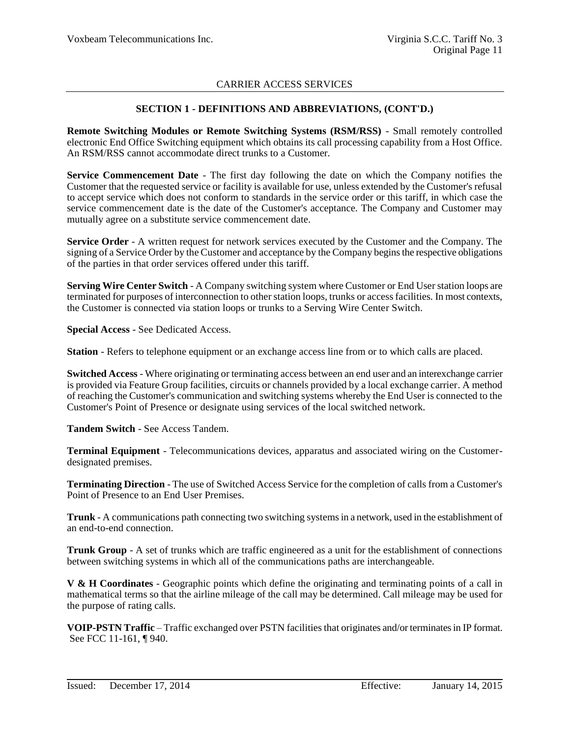### **SECTION 1 - DEFINITIONS AND ABBREVIATIONS, (CONT'D.)**

**Remote Switching Modules or Remote Switching Systems (RSM/RSS)** - Small remotely controlled electronic End Office Switching equipment which obtains its call processing capability from a Host Office. An RSM/RSS cannot accommodate direct trunks to a Customer.

**Service Commencement Date** - The first day following the date on which the Company notifies the Customer that the requested service or facility is available for use, unless extended by the Customer's refusal to accept service which does not conform to standards in the service order or this tariff, in which case the service commencement date is the date of the Customer's acceptance. The Company and Customer may mutually agree on a substitute service commencement date.

**Service Order** - A written request for network services executed by the Customer and the Company. The signing of a Service Order by the Customer and acceptance by the Company begins the respective obligations of the parties in that order services offered under this tariff.

**Serving Wire Center Switch** - A Company switching system where Customer or End User station loops are terminated for purposes of interconnection to other station loops, trunks or access facilities. In most contexts, the Customer is connected via station loops or trunks to a Serving Wire Center Switch.

**Special Access** - See Dedicated Access.

**Station** - Refers to telephone equipment or an exchange access line from or to which calls are placed.

**Switched Access** - Where originating or terminating access between an end user and an interexchange carrier is provided via Feature Group facilities, circuits or channels provided by a local exchange carrier. A method of reaching the Customer's communication and switching systems whereby the End User is connected to the Customer's Point of Presence or designate using services of the local switched network.

**Tandem Switch** - See Access Tandem.

**Terminal Equipment** - Telecommunications devices, apparatus and associated wiring on the Customerdesignated premises.

**Terminating Direction** - The use of Switched Access Service for the completion of calls from a Customer's Point of Presence to an End User Premises.

**Trunk** - A communications path connecting two switching systems in a network, used in the establishment of an end-to-end connection.

**Trunk Group** - A set of trunks which are traffic engineered as a unit for the establishment of connections between switching systems in which all of the communications paths are interchangeable.

**V & H Coordinates** - Geographic points which define the originating and terminating points of a call in mathematical terms so that the airline mileage of the call may be determined. Call mileage may be used for the purpose of rating calls.

**VOIP-PSTN Traffic** – Traffic exchanged over PSTN facilities that originates and/or terminates in IP format. See FCC 11-161, ¶ 940.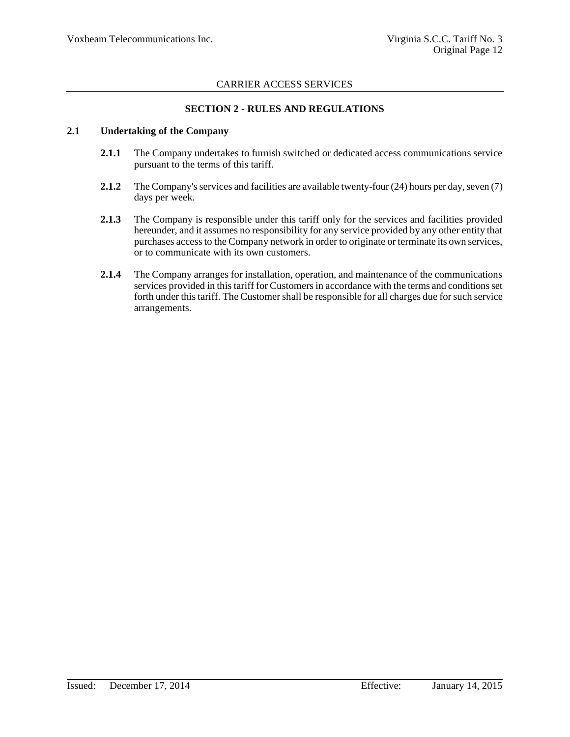### **SECTION 2 - RULES AND REGULATIONS**

#### **2.1 Undertaking of the Company**

- **2.1.1** The Company undertakes to furnish switched or dedicated access communications service pursuant to the terms of this tariff.
- **2.1.2** The Company's services and facilities are available twenty-four (24) hours per day, seven (7) days per week.
- **2.1.3** The Company is responsible under this tariff only for the services and facilities provided hereunder, and it assumes no responsibility for any service provided by any other entity that purchases access to the Company network in order to originate or terminate its own services, or to communicate with its own customers.
- **2.1.4** The Company arranges for installation, operation, and maintenance of the communications services provided in this tariff for Customers in accordance with the terms and conditions set forth under this tariff. The Customer shall be responsible for all charges due for such service arrangements.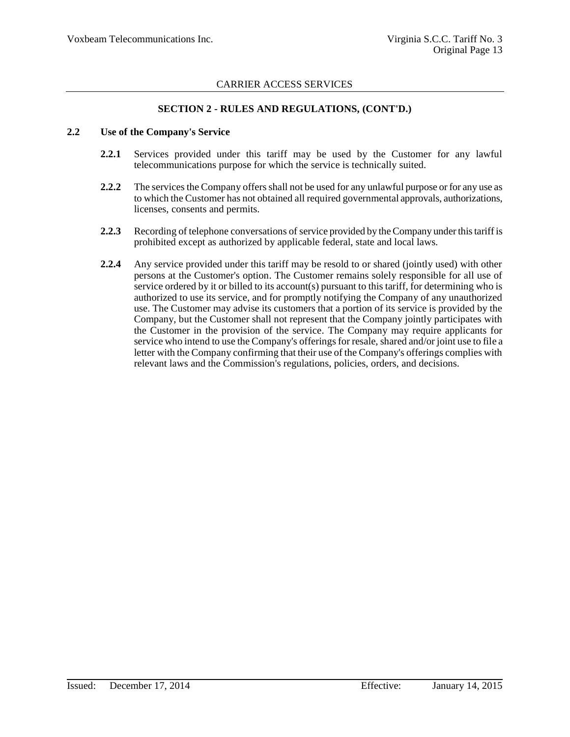### **SECTION 2 - RULES AND REGULATIONS, (CONT'D.)**

#### **2.2 Use of the Company's Service**

- **2.2.1** Services provided under this tariff may be used by the Customer for any lawful telecommunications purpose for which the service is technically suited.
- **2.2.2** The services the Company offers shall not be used for any unlawful purpose or for any use as to which the Customer has not obtained all required governmental approvals, authorizations, licenses, consents and permits.
- **2.2.3** Recording of telephone conversations of service provided by the Company under this tariff is prohibited except as authorized by applicable federal, state and local laws.
- **2.2.4** Any service provided under this tariff may be resold to or shared (jointly used) with other persons at the Customer's option. The Customer remains solely responsible for all use of service ordered by it or billed to its account(s) pursuant to this tariff, for determining who is authorized to use its service, and for promptly notifying the Company of any unauthorized use. The Customer may advise its customers that a portion of its service is provided by the Company, but the Customer shall not represent that the Company jointly participates with the Customer in the provision of the service. The Company may require applicants for service who intend to use the Company's offerings for resale, shared and/or joint use to file a letter with the Company confirming that their use of the Company's offerings complies with relevant laws and the Commission's regulations, policies, orders, and decisions.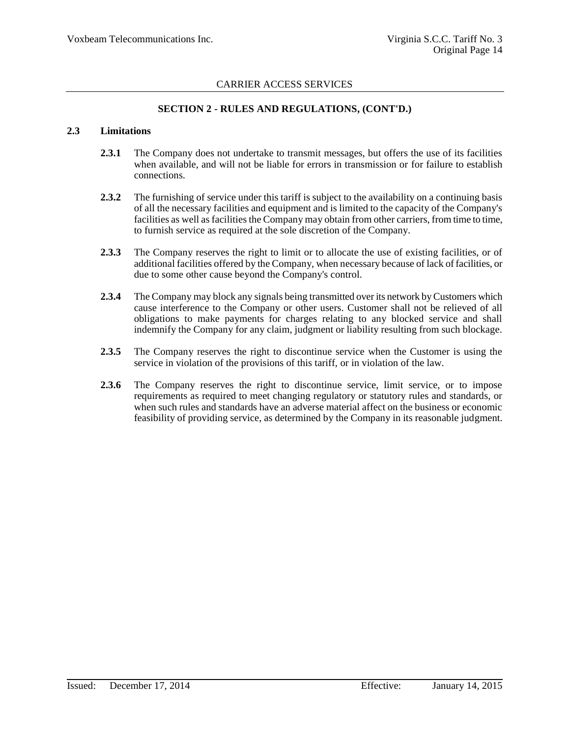### **SECTION 2 - RULES AND REGULATIONS, (CONT'D.)**

#### **2.3 Limitations**

- **2.3.1** The Company does not undertake to transmit messages, but offers the use of its facilities when available, and will not be liable for errors in transmission or for failure to establish connections.
- **2.3.2** The furnishing of service under this tariff is subject to the availability on a continuing basis of all the necessary facilities and equipment and is limited to the capacity of the Company's facilities as well as facilities the Company may obtain from other carriers, from time to time, to furnish service as required at the sole discretion of the Company.
- **2.3.3** The Company reserves the right to limit or to allocate the use of existing facilities, or of additional facilities offered by the Company, when necessary because of lack of facilities, or due to some other cause beyond the Company's control.
- **2.3.4** The Company may block any signals being transmitted over its network by Customers which cause interference to the Company or other users. Customer shall not be relieved of all obligations to make payments for charges relating to any blocked service and shall indemnify the Company for any claim, judgment or liability resulting from such blockage.
- **2.3.5** The Company reserves the right to discontinue service when the Customer is using the service in violation of the provisions of this tariff, or in violation of the law.
- **2.3.6** The Company reserves the right to discontinue service, limit service, or to impose requirements as required to meet changing regulatory or statutory rules and standards, or when such rules and standards have an adverse material affect on the business or economic feasibility of providing service, as determined by the Company in its reasonable judgment.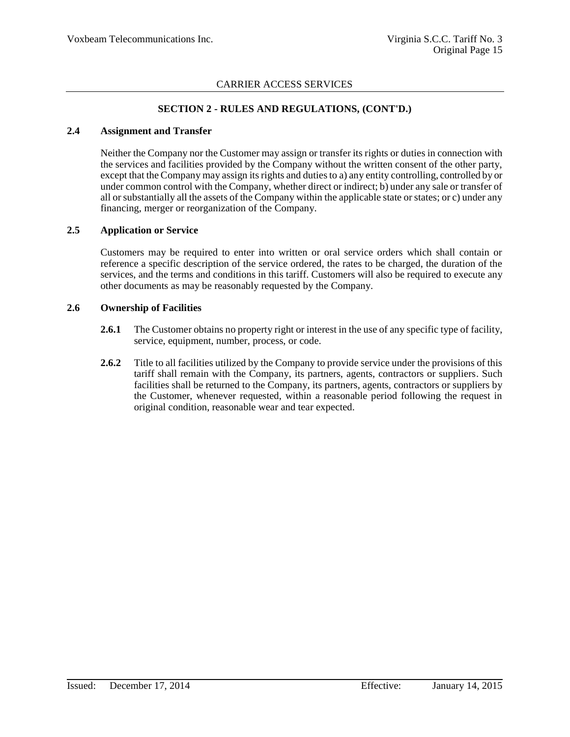### **SECTION 2 - RULES AND REGULATIONS, (CONT'D.)**

#### **2.4 Assignment and Transfer**

Neither the Company nor the Customer may assign or transfer its rights or duties in connection with the services and facilities provided by the Company without the written consent of the other party, except that the Company may assign its rights and duties to a) any entity controlling, controlled by or under common control with the Company, whether direct or indirect; b) under any sale or transfer of all or substantially all the assets of the Company within the applicable state or states; or c) under any financing, merger or reorganization of the Company.

### **2.5 Application or Service**

Customers may be required to enter into written or oral service orders which shall contain or reference a specific description of the service ordered, the rates to be charged, the duration of the services, and the terms and conditions in this tariff. Customers will also be required to execute any other documents as may be reasonably requested by the Company.

#### **2.6 Ownership of Facilities**

- **2.6.1** The Customer obtains no property right or interest in the use of any specific type of facility, service, equipment, number, process, or code.
- **2.6.2** Title to all facilities utilized by the Company to provide service under the provisions of this tariff shall remain with the Company, its partners, agents, contractors or suppliers. Such facilities shall be returned to the Company, its partners, agents, contractors or suppliers by the Customer, whenever requested, within a reasonable period following the request in original condition, reasonable wear and tear expected.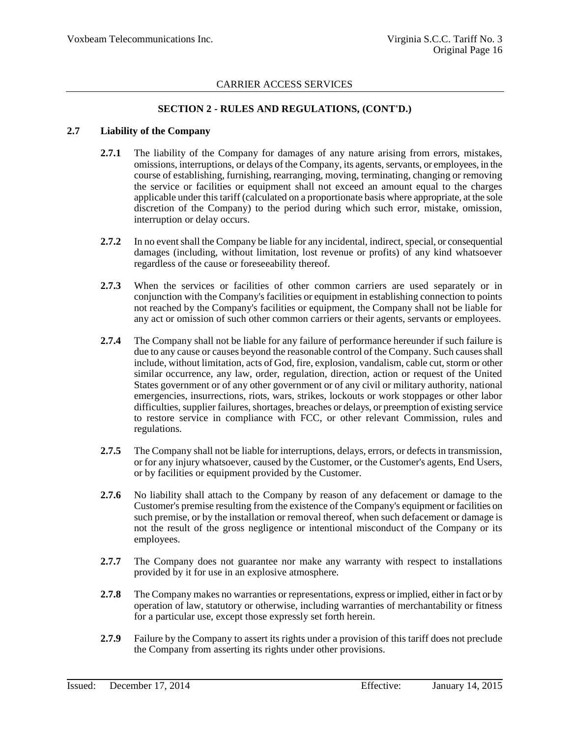### **SECTION 2 - RULES AND REGULATIONS, (CONT'D.)**

#### **2.7 Liability of the Company**

- 2.7.1 The liability of the Company for damages of any nature arising from errors, mistakes, omissions, interruptions, or delays of the Company, its agents, servants, or employees, in the course of establishing, furnishing, rearranging, moving, terminating, changing or removing the service or facilities or equipment shall not exceed an amount equal to the charges applicable under this tariff (calculated on a proportionate basis where appropriate, at the sole discretion of the Company) to the period during which such error, mistake, omission, interruption or delay occurs.
- **2.7.2** In no event shall the Company be liable for any incidental, indirect, special, or consequential damages (including, without limitation, lost revenue or profits) of any kind whatsoever regardless of the cause or foreseeability thereof.
- **2.7.3** When the services or facilities of other common carriers are used separately or in conjunction with the Company's facilities or equipment in establishing connection to points not reached by the Company's facilities or equipment, the Company shall not be liable for any act or omission of such other common carriers or their agents, servants or employees.
- **2.7.4** The Company shall not be liable for any failure of performance hereunder if such failure is due to any cause or causes beyond the reasonable control of the Company. Such causes shall include, without limitation, acts of God, fire, explosion, vandalism, cable cut, storm or other similar occurrence, any law, order, regulation, direction, action or request of the United States government or of any other government or of any civil or military authority, national emergencies, insurrections, riots, wars, strikes, lockouts or work stoppages or other labor difficulties, supplier failures, shortages, breaches or delays, or preemption of existing service to restore service in compliance with FCC, or other relevant Commission, rules and regulations.
- **2.7.5** The Company shall not be liable for interruptions, delays, errors, or defects in transmission, or for any injury whatsoever, caused by the Customer, or the Customer's agents, End Users, or by facilities or equipment provided by the Customer.
- **2.7.6** No liability shall attach to the Company by reason of any defacement or damage to the Customer's premise resulting from the existence of the Company's equipment or facilities on such premise, or by the installation or removal thereof, when such defacement or damage is not the result of the gross negligence or intentional misconduct of the Company or its employees.
- **2.7.7** The Company does not guarantee nor make any warranty with respect to installations provided by it for use in an explosive atmosphere.
- **2.7.8** The Company makes no warranties or representations, express or implied, either in fact or by operation of law, statutory or otherwise, including warranties of merchantability or fitness for a particular use, except those expressly set forth herein.
- **2.7.9** Failure by the Company to assert its rights under a provision of this tariff does not preclude the Company from asserting its rights under other provisions.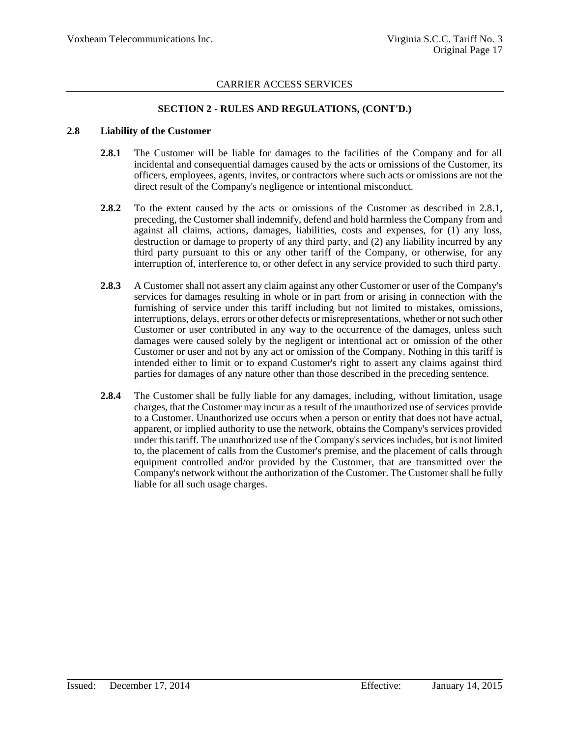### **SECTION 2 - RULES AND REGULATIONS, (CONT'D.)**

#### **2.8 Liability of the Customer**

- 2.8.1 The Customer will be liable for damages to the facilities of the Company and for all incidental and consequential damages caused by the acts or omissions of the Customer, its officers, employees, agents, invites, or contractors where such acts or omissions are not the direct result of the Company's negligence or intentional misconduct.
- **2.8.2** To the extent caused by the acts or omissions of the Customer as described in 2.8.1, preceding, the Customer shall indemnify, defend and hold harmless the Company from and against all claims, actions, damages, liabilities, costs and expenses, for (1) any loss, destruction or damage to property of any third party, and (2) any liability incurred by any third party pursuant to this or any other tariff of the Company, or otherwise, for any interruption of, interference to, or other defect in any service provided to such third party.
- **2.8.3** A Customer shall not assert any claim against any other Customer or user of the Company's services for damages resulting in whole or in part from or arising in connection with the furnishing of service under this tariff including but not limited to mistakes, omissions, interruptions, delays, errors or other defects or misrepresentations, whether or not such other Customer or user contributed in any way to the occurrence of the damages, unless such damages were caused solely by the negligent or intentional act or omission of the other Customer or user and not by any act or omission of the Company. Nothing in this tariff is intended either to limit or to expand Customer's right to assert any claims against third parties for damages of any nature other than those described in the preceding sentence.
- **2.8.4** The Customer shall be fully liable for any damages, including, without limitation, usage charges, that the Customer may incur as a result of the unauthorized use of services provide to a Customer. Unauthorized use occurs when a person or entity that does not have actual, apparent, or implied authority to use the network, obtains the Company's services provided under this tariff. The unauthorized use of the Company's services includes, but is not limited to, the placement of calls from the Customer's premise, and the placement of calls through equipment controlled and/or provided by the Customer, that are transmitted over the Company's network without the authorization of the Customer. The Customer shall be fully liable for all such usage charges.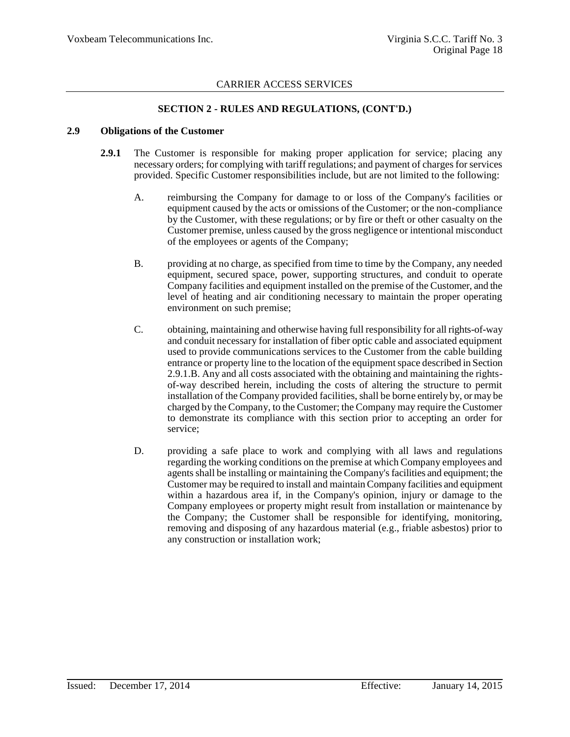### **SECTION 2 - RULES AND REGULATIONS, (CONT'D.)**

#### **2.9 Obligations of the Customer**

- **2.9.1** The Customer is responsible for making proper application for service; placing any necessary orders; for complying with tariff regulations; and payment of charges for services provided. Specific Customer responsibilities include, but are not limited to the following:
	- A. reimbursing the Company for damage to or loss of the Company's facilities or equipment caused by the acts or omissions of the Customer; or the non-compliance by the Customer, with these regulations; or by fire or theft or other casualty on the Customer premise, unless caused by the gross negligence or intentional misconduct of the employees or agents of the Company;
	- B. providing at no charge, as specified from time to time by the Company, any needed equipment, secured space, power, supporting structures, and conduit to operate Company facilities and equipment installed on the premise of the Customer, and the level of heating and air conditioning necessary to maintain the proper operating environment on such premise;
	- C. obtaining, maintaining and otherwise having full responsibility for all rights-of-way and conduit necessary for installation of fiber optic cable and associated equipment used to provide communications services to the Customer from the cable building entrance or property line to the location of the equipment space described in Section 2.9.1.B. Any and all costs associated with the obtaining and maintaining the rightsof-way described herein, including the costs of altering the structure to permit installation of the Company provided facilities, shall be borne entirely by, or may be charged by the Company, to the Customer; the Company may require the Customer to demonstrate its compliance with this section prior to accepting an order for service;
	- D. providing a safe place to work and complying with all laws and regulations regarding the working conditions on the premise at which Company employees and agents shall be installing or maintaining the Company's facilities and equipment; the Customer may be required to install and maintain Company facilities and equipment within a hazardous area if, in the Company's opinion, injury or damage to the Company employees or property might result from installation or maintenance by the Company; the Customer shall be responsible for identifying, monitoring, removing and disposing of any hazardous material (e.g., friable asbestos) prior to any construction or installation work;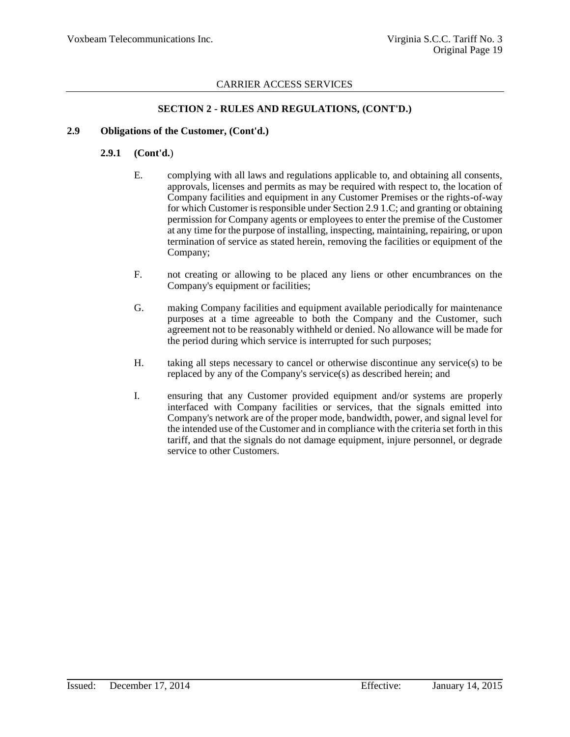### **SECTION 2 - RULES AND REGULATIONS, (CONT'D.)**

### **2.9 Obligations of the Customer, (Cont'd.)**

### **2.9.1 (Cont'd.**)

- E. complying with all laws and regulations applicable to, and obtaining all consents, approvals, licenses and permits as may be required with respect to, the location of Company facilities and equipment in any Customer Premises or the rights-of-way for which Customer is responsible under Section 2.9 1.C; and granting or obtaining permission for Company agents or employees to enter the premise of the Customer at any time for the purpose of installing, inspecting, maintaining, repairing, or upon termination of service as stated herein, removing the facilities or equipment of the Company;
- F. not creating or allowing to be placed any liens or other encumbrances on the Company's equipment or facilities;
- G. making Company facilities and equipment available periodically for maintenance purposes at a time agreeable to both the Company and the Customer, such agreement not to be reasonably withheld or denied. No allowance will be made for the period during which service is interrupted for such purposes;
- H. taking all steps necessary to cancel or otherwise discontinue any service(s) to be replaced by any of the Company's service(s) as described herein; and
- I. ensuring that any Customer provided equipment and/or systems are properly interfaced with Company facilities or services, that the signals emitted into Company's network are of the proper mode, bandwidth, power, and signal level for the intended use of the Customer and in compliance with the criteria set forth in this tariff, and that the signals do not damage equipment, injure personnel, or degrade service to other Customers.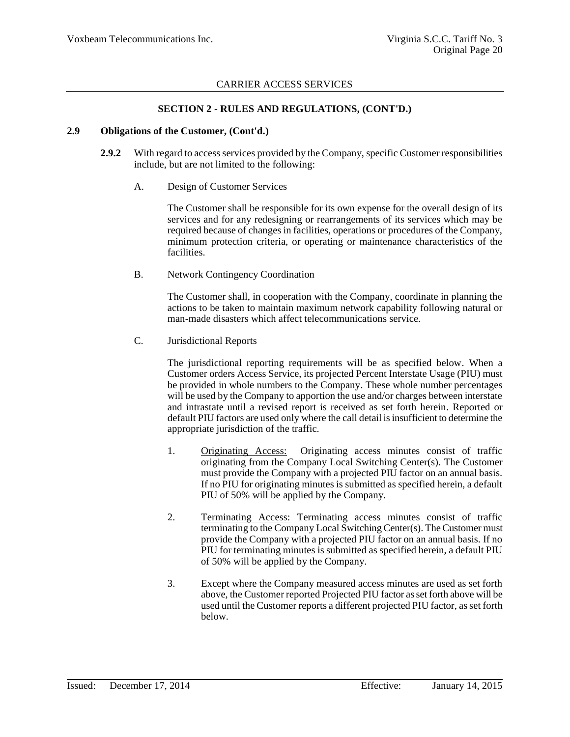### **SECTION 2 - RULES AND REGULATIONS, (CONT'D.)**

#### **2.9 Obligations of the Customer, (Cont'd.)**

- **2.9.2** With regard to access services provided by the Company, specific Customer responsibilities include, but are not limited to the following:
	- A. Design of Customer Services

The Customer shall be responsible for its own expense for the overall design of its services and for any redesigning or rearrangements of its services which may be required because of changes in facilities, operations or procedures of the Company, minimum protection criteria, or operating or maintenance characteristics of the facilities.

B. Network Contingency Coordination

The Customer shall, in cooperation with the Company, coordinate in planning the actions to be taken to maintain maximum network capability following natural or man-made disasters which affect telecommunications service.

C. Jurisdictional Reports

The jurisdictional reporting requirements will be as specified below. When a Customer orders Access Service, its projected Percent Interstate Usage (PIU) must be provided in whole numbers to the Company. These whole number percentages will be used by the Company to apportion the use and/or charges between interstate and intrastate until a revised report is received as set forth herein. Reported or default PIU factors are used only where the call detail is insufficient to determine the appropriate jurisdiction of the traffic.

- 1. Originating Access: Originating access minutes consist of traffic originating from the Company Local Switching Center(s). The Customer must provide the Company with a projected PIU factor on an annual basis. If no PIU for originating minutes is submitted as specified herein, a default PIU of 50% will be applied by the Company.
- 2. Terminating Access: Terminating access minutes consist of traffic terminating to the Company Local Switching Center(s). The Customer must provide the Company with a projected PIU factor on an annual basis. If no PIU for terminating minutes is submitted as specified herein, a default PIU of 50% will be applied by the Company.
- 3. Except where the Company measured access minutes are used as set forth above, the Customer reported Projected PIU factor as set forth above will be used until the Customer reports a different projected PIU factor, as set forth below.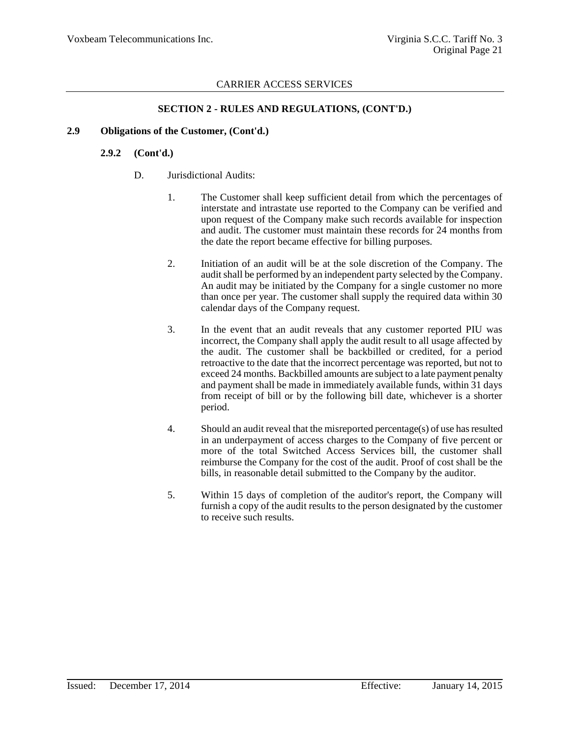### **SECTION 2 - RULES AND REGULATIONS, (CONT'D.)**

### **2.9 Obligations of the Customer, (Cont'd.)**

### **2.9.2 (Cont'd.)**

- D. Jurisdictional Audits:
	- 1. The Customer shall keep sufficient detail from which the percentages of interstate and intrastate use reported to the Company can be verified and upon request of the Company make such records available for inspection and audit. The customer must maintain these records for 24 months from the date the report became effective for billing purposes.
	- 2. Initiation of an audit will be at the sole discretion of the Company. The audit shall be performed by an independent party selected by the Company. An audit may be initiated by the Company for a single customer no more than once per year. The customer shall supply the required data within 30 calendar days of the Company request.
	- 3. In the event that an audit reveals that any customer reported PIU was incorrect, the Company shall apply the audit result to all usage affected by the audit. The customer shall be backbilled or credited, for a period retroactive to the date that the incorrect percentage was reported, but not to exceed 24 months. Backbilled amounts are subject to a late payment penalty and payment shall be made in immediately available funds, within 31 days from receipt of bill or by the following bill date, whichever is a shorter period.
	- 4. Should an audit reveal that the misreported percentage(s) of use has resulted in an underpayment of access charges to the Company of five percent or more of the total Switched Access Services bill, the customer shall reimburse the Company for the cost of the audit. Proof of cost shall be the bills, in reasonable detail submitted to the Company by the auditor.
	- 5. Within 15 days of completion of the auditor's report, the Company will furnish a copy of the audit results to the person designated by the customer to receive such results.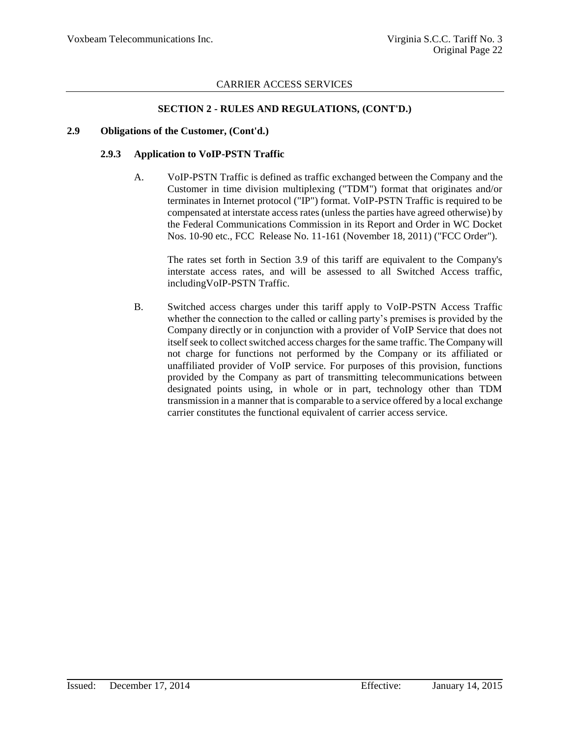### **SECTION 2 - RULES AND REGULATIONS, (CONT'D.)**

#### **2.9 Obligations of the Customer, (Cont'd.)**

### **2.9.3 Application to VoIP-PSTN Traffic**

A. VoIP-PSTN Traffic is defined as traffic exchanged between the Company and the Customer in time division multiplexing ("TDM") format that originates and/or terminates in Internet protocol ("IP") format. VoIP-PSTN Traffic is required to be compensated at interstate access rates (unless the parties have agreed otherwise) by the Federal Communications Commission in its Report and Order in WC Docket Nos. 10-90 etc., FCC Release No. 11-161 (November 18, 2011) ("FCC Order").

The rates set forth in Section 3.9 of this tariff are equivalent to the Company's interstate access rates, and will be assessed to all Switched Access traffic, includingVoIP-PSTN Traffic.

B. Switched access charges under this tariff apply to VoIP-PSTN Access Traffic whether the connection to the called or calling party's premises is provided by the Company directly or in conjunction with a provider of VoIP Service that does not itself seek to collect switched access charges for the same traffic. The Company will not charge for functions not performed by the Company or its affiliated or unaffiliated provider of VoIP service. For purposes of this provision, functions provided by the Company as part of transmitting telecommunications between designated points using, in whole or in part, technology other than TDM transmission in a manner that is comparable to a service offered by a local exchange carrier constitutes the functional equivalent of carrier access service.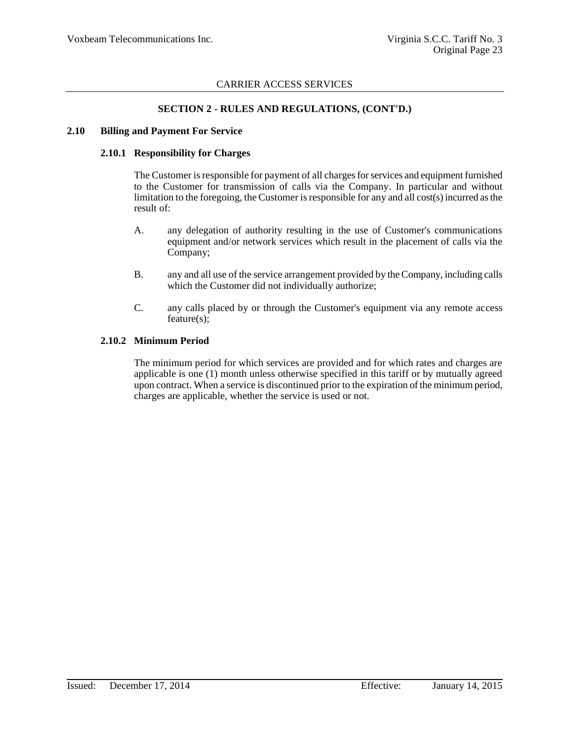### **SECTION 2 - RULES AND REGULATIONS, (CONT'D.)**

#### **2.10 Billing and Payment For Service**

#### **2.10.1 Responsibility for Charges**

The Customer is responsible for payment of all charges for services and equipment furnished to the Customer for transmission of calls via the Company. In particular and without limitation to the foregoing, the Customer is responsible for any and all cost(s) incurred as the result of:

- A. any delegation of authority resulting in the use of Customer's communications equipment and/or network services which result in the placement of calls via the Company;
- B. any and all use of the service arrangement provided by the Company, including calls which the Customer did not individually authorize;
- C. any calls placed by or through the Customer's equipment via any remote access feature(s);

### **2.10.2 Minimum Period**

The minimum period for which services are provided and for which rates and charges are applicable is one (1) month unless otherwise specified in this tariff or by mutually agreed upon contract. When a service is discontinued prior to the expiration of the minimum period, charges are applicable, whether the service is used or not.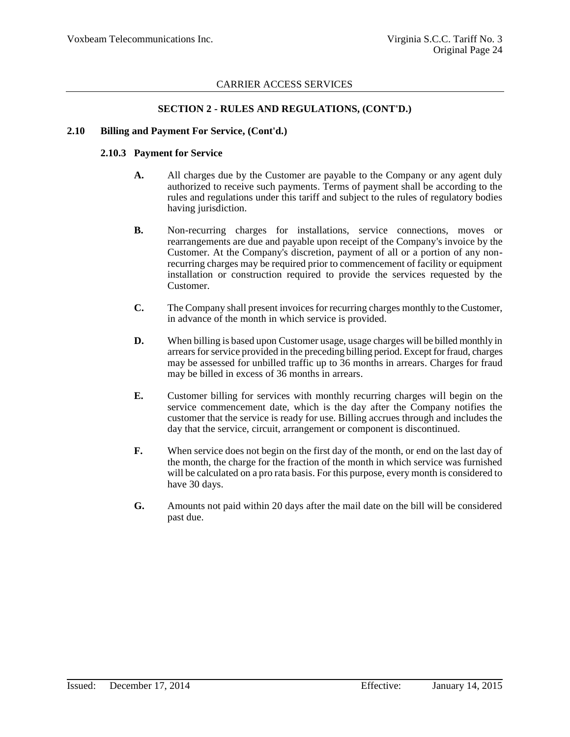### **SECTION 2 - RULES AND REGULATIONS, (CONT'D.)**

#### **2.10 Billing and Payment For Service, (Cont'd.)**

#### **2.10.3 Payment for Service**

- **A.** All charges due by the Customer are payable to the Company or any agent duly authorized to receive such payments. Terms of payment shall be according to the rules and regulations under this tariff and subject to the rules of regulatory bodies having jurisdiction.
- **B.** Non-recurring charges for installations, service connections, moves or rearrangements are due and payable upon receipt of the Company's invoice by the Customer. At the Company's discretion, payment of all or a portion of any nonrecurring charges may be required prior to commencement of facility or equipment installation or construction required to provide the services requested by the Customer.
- **C.** The Company shall present invoices for recurring charges monthly to the Customer, in advance of the month in which service is provided.
- **D.** When billing is based upon Customer usage, usage charges will be billed monthly in arrears for service provided in the preceding billing period. Except for fraud, charges may be assessed for unbilled traffic up to 36 months in arrears. Charges for fraud may be billed in excess of 36 months in arrears.
- **E.** Customer billing for services with monthly recurring charges will begin on the service commencement date, which is the day after the Company notifies the customer that the service is ready for use. Billing accrues through and includes the day that the service, circuit, arrangement or component is discontinued.
- **F.** When service does not begin on the first day of the month, or end on the last day of the month, the charge for the fraction of the month in which service was furnished will be calculated on a pro rata basis. For this purpose, every month is considered to have 30 days.
- **G.** Amounts not paid within 20 days after the mail date on the bill will be considered past due.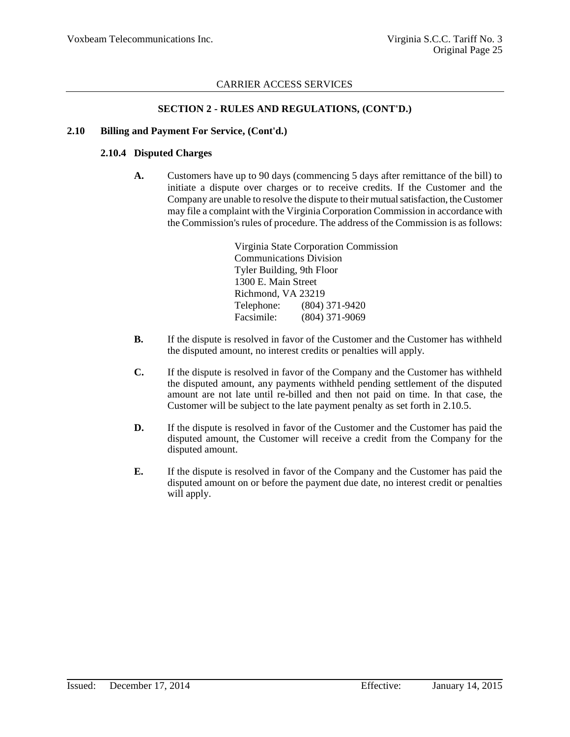### **SECTION 2 - RULES AND REGULATIONS, (CONT'D.)**

### **2.10 Billing and Payment For Service, (Cont'd.)**

### **2.10.4 Disputed Charges**

**A.** Customers have up to 90 days (commencing 5 days after remittance of the bill) to initiate a dispute over charges or to receive credits. If the Customer and the Company are unable to resolve the dispute to their mutual satisfaction, the Customer may file a complaint with the Virginia Corporation Commission in accordance with the Commission's rules of procedure. The address of the Commission is as follows:

> Virginia State Corporation Commission Communications Division Tyler Building, 9th Floor 1300 E. Main Street Richmond, VA 23219 Telephone: (804) 371-9420 Facsimile: (804) 371-9069

- **B.** If the dispute is resolved in favor of the Customer and the Customer has withheld the disputed amount, no interest credits or penalties will apply.
- **C.** If the dispute is resolved in favor of the Company and the Customer has withheld the disputed amount, any payments withheld pending settlement of the disputed amount are not late until re-billed and then not paid on time. In that case, the Customer will be subject to the late payment penalty as set forth in 2.10.5.
- **D.** If the dispute is resolved in favor of the Customer and the Customer has paid the disputed amount, the Customer will receive a credit from the Company for the disputed amount.
- **E.** If the dispute is resolved in favor of the Company and the Customer has paid the disputed amount on or before the payment due date, no interest credit or penalties will apply.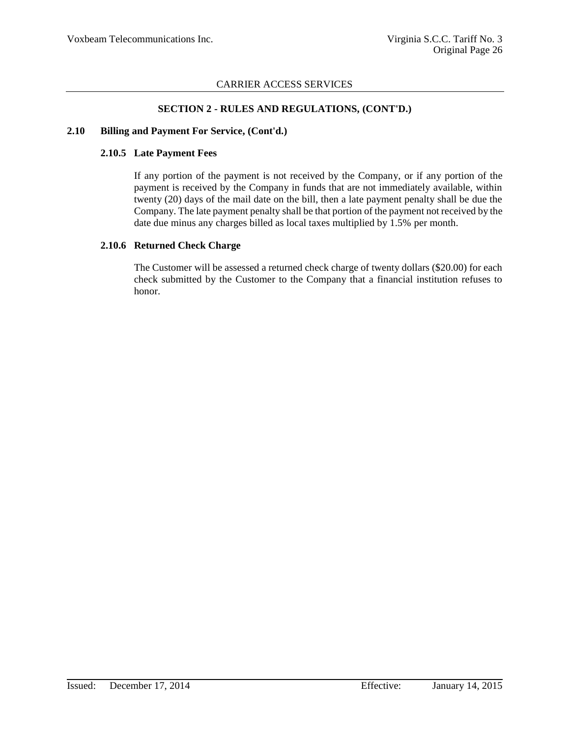### **SECTION 2 - RULES AND REGULATIONS, (CONT'D.)**

### **2.10 Billing and Payment For Service, (Cont'd.)**

### **2.10.5 Late Payment Fees**

If any portion of the payment is not received by the Company, or if any portion of the payment is received by the Company in funds that are not immediately available, within twenty (20) days of the mail date on the bill, then a late payment penalty shall be due the Company. The late payment penalty shall be that portion of the payment not received by the date due minus any charges billed as local taxes multiplied by 1.5% per month.

### **2.10.6 Returned Check Charge**

The Customer will be assessed a returned check charge of twenty dollars (\$20.00) for each check submitted by the Customer to the Company that a financial institution refuses to honor.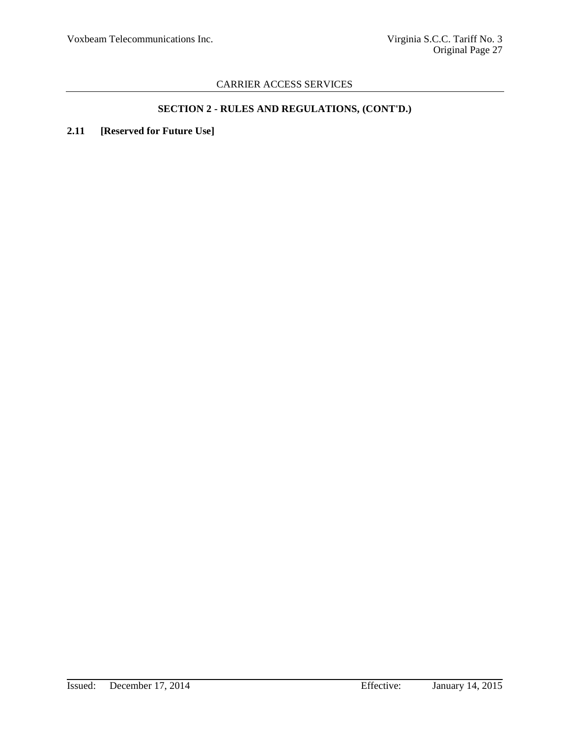# **SECTION 2 - RULES AND REGULATIONS, (CONT'D.)**

# **2.11 [Reserved for Future Use]**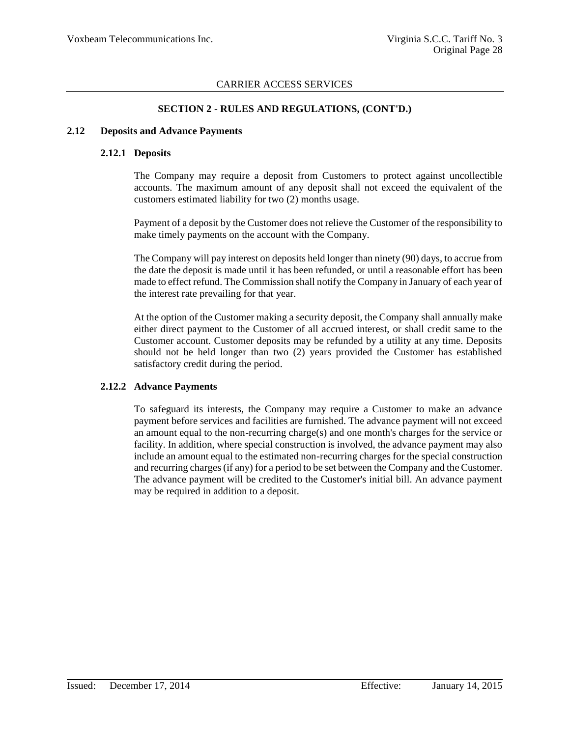### **SECTION 2 - RULES AND REGULATIONS, (CONT'D.)**

#### **2.12 Deposits and Advance Payments**

### **2.12.1 Deposits**

The Company may require a deposit from Customers to protect against uncollectible accounts. The maximum amount of any deposit shall not exceed the equivalent of the customers estimated liability for two (2) months usage.

Payment of a deposit by the Customer does not relieve the Customer of the responsibility to make timely payments on the account with the Company.

The Company will pay interest on deposits held longer than ninety (90) days, to accrue from the date the deposit is made until it has been refunded, or until a reasonable effort has been made to effect refund. The Commission shall notify the Company in January of each year of the interest rate prevailing for that year.

At the option of the Customer making a security deposit, the Company shall annually make either direct payment to the Customer of all accrued interest, or shall credit same to the Customer account. Customer deposits may be refunded by a utility at any time. Deposits should not be held longer than two (2) years provided the Customer has established satisfactory credit during the period.

### **2.12.2 Advance Payments**

To safeguard its interests, the Company may require a Customer to make an advance payment before services and facilities are furnished. The advance payment will not exceed an amount equal to the non-recurring charge(s) and one month's charges for the service or facility. In addition, where special construction is involved, the advance payment may also include an amount equal to the estimated non-recurring charges for the special construction and recurring charges (if any) for a period to be set between the Company and the Customer. The advance payment will be credited to the Customer's initial bill. An advance payment may be required in addition to a deposit.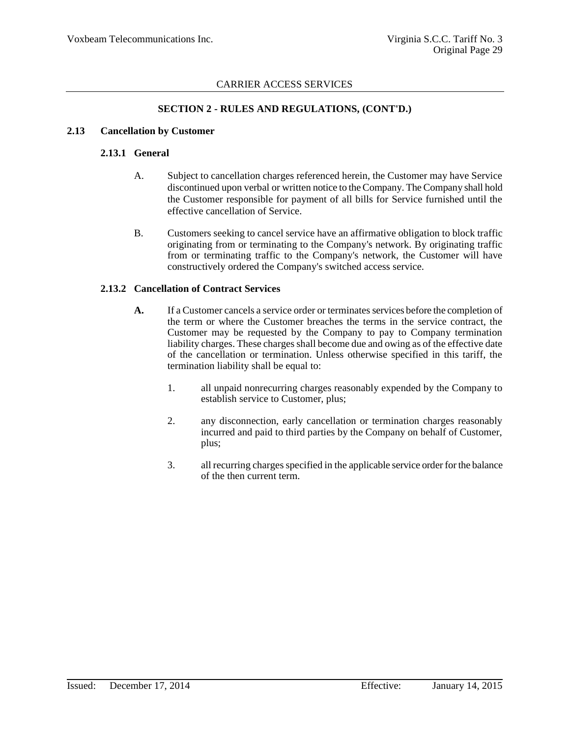### **SECTION 2 - RULES AND REGULATIONS, (CONT'D.)**

### **2.13 Cancellation by Customer**

### **2.13.1 General**

- A. Subject to cancellation charges referenced herein, the Customer may have Service discontinued upon verbal or written notice to the Company. The Company shall hold the Customer responsible for payment of all bills for Service furnished until the effective cancellation of Service.
- B. Customers seeking to cancel service have an affirmative obligation to block traffic originating from or terminating to the Company's network. By originating traffic from or terminating traffic to the Company's network, the Customer will have constructively ordered the Company's switched access service.

### **2.13.2 Cancellation of Contract Services**

- **A.** If a Customer cancels a service order or terminates services before the completion of the term or where the Customer breaches the terms in the service contract, the Customer may be requested by the Company to pay to Company termination liability charges. These charges shall become due and owing as of the effective date of the cancellation or termination. Unless otherwise specified in this tariff, the termination liability shall be equal to:
	- 1. all unpaid nonrecurring charges reasonably expended by the Company to establish service to Customer, plus;
	- 2. any disconnection, early cancellation or termination charges reasonably incurred and paid to third parties by the Company on behalf of Customer, plus;
	- 3. all recurring charges specified in the applicable service order for the balance of the then current term.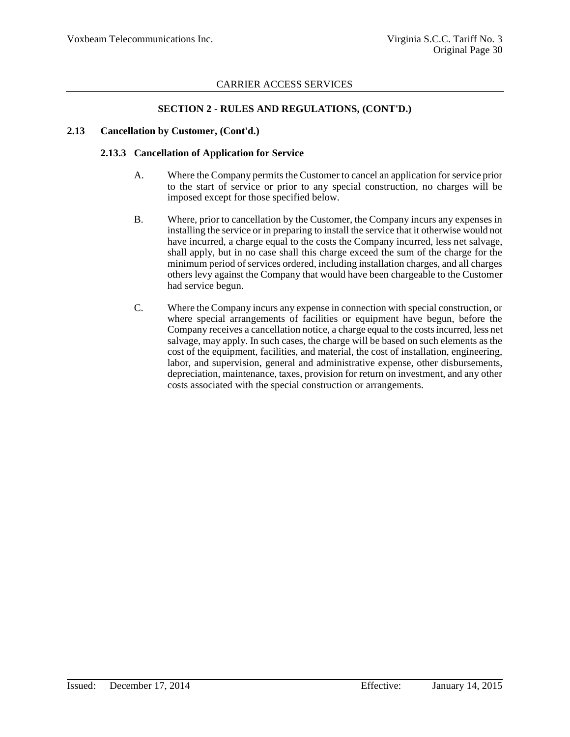### **SECTION 2 - RULES AND REGULATIONS, (CONT'D.)**

#### **2.13 Cancellation by Customer, (Cont'd.)**

#### **2.13.3 Cancellation of Application for Service**

- A. Where the Company permits the Customer to cancel an application for service prior to the start of service or prior to any special construction, no charges will be imposed except for those specified below.
- B. Where, prior to cancellation by the Customer, the Company incurs any expenses in installing the service or in preparing to install the service that it otherwise would not have incurred, a charge equal to the costs the Company incurred, less net salvage, shall apply, but in no case shall this charge exceed the sum of the charge for the minimum period of services ordered, including installation charges, and all charges others levy against the Company that would have been chargeable to the Customer had service begun.
- C. Where the Company incurs any expense in connection with special construction, or where special arrangements of facilities or equipment have begun, before the Company receives a cancellation notice, a charge equal to the costs incurred, less net salvage, may apply. In such cases, the charge will be based on such elements as the cost of the equipment, facilities, and material, the cost of installation, engineering, labor, and supervision, general and administrative expense, other disbursements, depreciation, maintenance, taxes, provision for return on investment, and any other costs associated with the special construction or arrangements.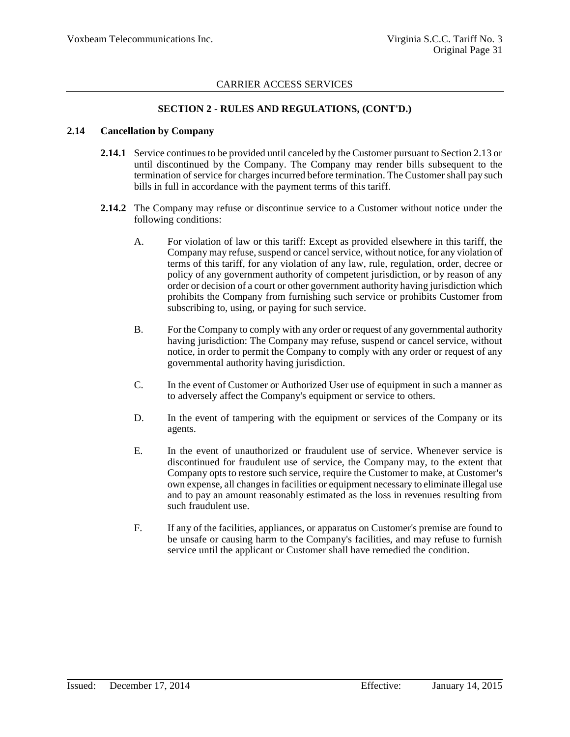### **SECTION 2 - RULES AND REGULATIONS, (CONT'D.)**

#### **2.14 Cancellation by Company**

- **2.14.1** Service continues to be provided until canceled by the Customer pursuant to Section 2.13 or until discontinued by the Company. The Company may render bills subsequent to the termination of service for charges incurred before termination. The Customer shall pay such bills in full in accordance with the payment terms of this tariff.
- **2.14.2** The Company may refuse or discontinue service to a Customer without notice under the following conditions:
	- A. For violation of law or this tariff: Except as provided elsewhere in this tariff, the Company may refuse, suspend or cancel service, without notice, for any violation of terms of this tariff, for any violation of any law, rule, regulation, order, decree or policy of any government authority of competent jurisdiction, or by reason of any order or decision of a court or other government authority having jurisdiction which prohibits the Company from furnishing such service or prohibits Customer from subscribing to, using, or paying for such service.
	- B. For the Company to comply with any order or request of any governmental authority having jurisdiction: The Company may refuse, suspend or cancel service, without notice, in order to permit the Company to comply with any order or request of any governmental authority having jurisdiction.
	- C. In the event of Customer or Authorized User use of equipment in such a manner as to adversely affect the Company's equipment or service to others.
	- D. In the event of tampering with the equipment or services of the Company or its agents.
	- E. In the event of unauthorized or fraudulent use of service. Whenever service is discontinued for fraudulent use of service, the Company may, to the extent that Company opts to restore such service, require the Customer to make, at Customer's own expense, all changes in facilities or equipment necessary to eliminate illegal use and to pay an amount reasonably estimated as the loss in revenues resulting from such fraudulent use.
	- F. If any of the facilities, appliances, or apparatus on Customer's premise are found to be unsafe or causing harm to the Company's facilities, and may refuse to furnish service until the applicant or Customer shall have remedied the condition.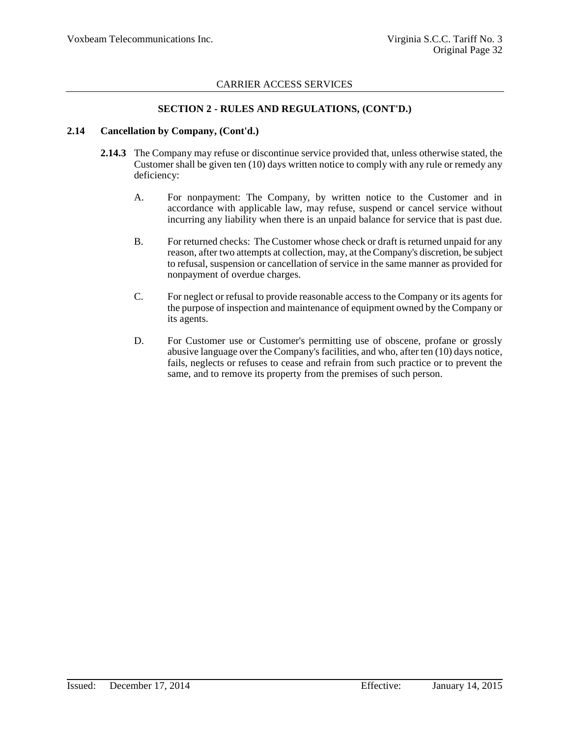### **SECTION 2 - RULES AND REGULATIONS, (CONT'D.)**

#### **2.14 Cancellation by Company, (Cont'd.)**

- **2.14.3** The Company may refuse or discontinue service provided that, unless otherwise stated, the Customer shall be given ten (10) days written notice to comply with any rule or remedy any deficiency:
	- A. For nonpayment: The Company, by written notice to the Customer and in accordance with applicable law, may refuse, suspend or cancel service without incurring any liability when there is an unpaid balance for service that is past due.
	- B. For returned checks: The Customer whose check or draft is returned unpaid for any reason, after two attempts at collection, may, at the Company's discretion, be subject to refusal, suspension or cancellation of service in the same manner as provided for nonpayment of overdue charges.
	- C. For neglect or refusal to provide reasonable access to the Company or its agents for the purpose of inspection and maintenance of equipment owned by the Company or its agents.
	- D. For Customer use or Customer's permitting use of obscene, profane or grossly abusive language over the Company's facilities, and who, after ten (10) days notice, fails, neglects or refuses to cease and refrain from such practice or to prevent the same, and to remove its property from the premises of such person.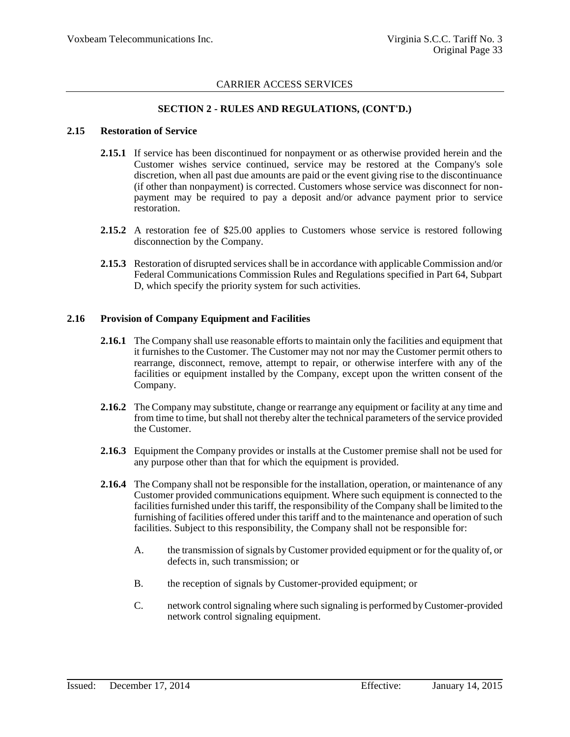### **SECTION 2 - RULES AND REGULATIONS, (CONT'D.)**

#### **2.15 Restoration of Service**

- **2.15.1** If service has been discontinued for nonpayment or as otherwise provided herein and the Customer wishes service continued, service may be restored at the Company's sole discretion, when all past due amounts are paid or the event giving rise to the discontinuance (if other than nonpayment) is corrected. Customers whose service was disconnect for nonpayment may be required to pay a deposit and/or advance payment prior to service restoration.
- **2.15.2** A restoration fee of \$25.00 applies to Customers whose service is restored following disconnection by the Company.
- **2.15.3** Restoration of disrupted services shall be in accordance with applicable Commission and/or Federal Communications Commission Rules and Regulations specified in Part 64, Subpart D, which specify the priority system for such activities.

### **2.16 Provision of Company Equipment and Facilities**

- **2.16.1** The Company shall use reasonable efforts to maintain only the facilities and equipment that it furnishes to the Customer. The Customer may not nor may the Customer permit others to rearrange, disconnect, remove, attempt to repair, or otherwise interfere with any of the facilities or equipment installed by the Company, except upon the written consent of the Company.
- **2.16.2** The Company may substitute, change or rearrange any equipment or facility at any time and from time to time, but shall not thereby alter the technical parameters of the service provided the Customer.
- **2.16.3** Equipment the Company provides or installs at the Customer premise shall not be used for any purpose other than that for which the equipment is provided.
- **2.16.4** The Company shall not be responsible for the installation, operation, or maintenance of any Customer provided communications equipment. Where such equipment is connected to the facilities furnished under this tariff, the responsibility of the Company shall be limited to the furnishing of facilities offered under this tariff and to the maintenance and operation of such facilities. Subject to this responsibility, the Company shall not be responsible for:
	- A. the transmission of signals by Customer provided equipment or for the quality of, or defects in, such transmission; or
	- B. the reception of signals by Customer-provided equipment; or
	- C. network control signaling where such signaling is performed by Customer-provided network control signaling equipment.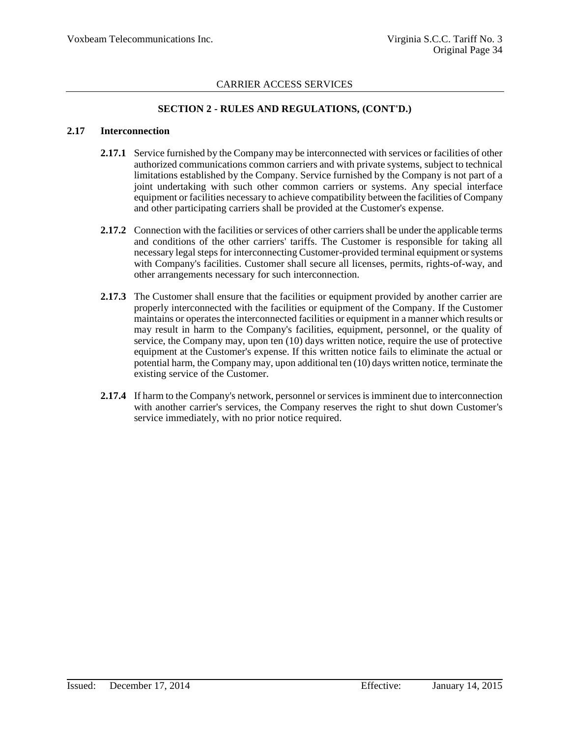### **SECTION 2 - RULES AND REGULATIONS, (CONT'D.)**

#### **2.17 Interconnection**

- 2.17.1 Service furnished by the Company may be interconnected with services or facilities of other authorized communications common carriers and with private systems, subject to technical limitations established by the Company. Service furnished by the Company is not part of a joint undertaking with such other common carriers or systems. Any special interface equipment or facilities necessary to achieve compatibility between the facilities of Company and other participating carriers shall be provided at the Customer's expense.
- **2.17.2** Connection with the facilities or services of other carriers shall be under the applicable terms and conditions of the other carriers' tariffs. The Customer is responsible for taking all necessary legal steps for interconnecting Customer-provided terminal equipment or systems with Company's facilities. Customer shall secure all licenses, permits, rights-of-way, and other arrangements necessary for such interconnection.
- **2.17.3** The Customer shall ensure that the facilities or equipment provided by another carrier are properly interconnected with the facilities or equipment of the Company. If the Customer maintains or operates the interconnected facilities or equipment in a manner which results or may result in harm to the Company's facilities, equipment, personnel, or the quality of service, the Company may, upon ten (10) days written notice, require the use of protective equipment at the Customer's expense. If this written notice fails to eliminate the actual or potential harm, the Company may, upon additional ten (10) days written notice, terminate the existing service of the Customer.
- **2.17.4** If harm to the Company's network, personnel or services is imminent due to interconnection with another carrier's services, the Company reserves the right to shut down Customer's service immediately, with no prior notice required.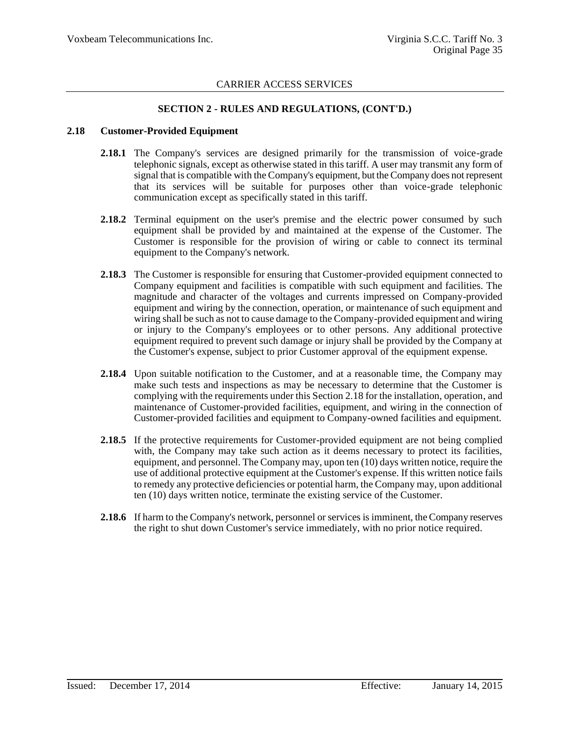### **SECTION 2 - RULES AND REGULATIONS, (CONT'D.)**

#### **2.18 Customer-Provided Equipment**

- 2.18.1 The Company's services are designed primarily for the transmission of voice-grade telephonic signals, except as otherwise stated in this tariff. A user may transmit any form of signal that is compatible with the Company's equipment, but the Company does not represent that its services will be suitable for purposes other than voice-grade telephonic communication except as specifically stated in this tariff.
- **2.18.2** Terminal equipment on the user's premise and the electric power consumed by such equipment shall be provided by and maintained at the expense of the Customer. The Customer is responsible for the provision of wiring or cable to connect its terminal equipment to the Company's network.
- **2.18.3** The Customer is responsible for ensuring that Customer-provided equipment connected to Company equipment and facilities is compatible with such equipment and facilities. The magnitude and character of the voltages and currents impressed on Company-provided equipment and wiring by the connection, operation, or maintenance of such equipment and wiring shall be such as not to cause damage to the Company-provided equipment and wiring or injury to the Company's employees or to other persons. Any additional protective equipment required to prevent such damage or injury shall be provided by the Company at the Customer's expense, subject to prior Customer approval of the equipment expense.
- **2.18.4** Upon suitable notification to the Customer, and at a reasonable time, the Company may make such tests and inspections as may be necessary to determine that the Customer is complying with the requirements under this Section 2.18 for the installation, operation, and maintenance of Customer-provided facilities, equipment, and wiring in the connection of Customer-provided facilities and equipment to Company-owned facilities and equipment.
- **2.18.5** If the protective requirements for Customer-provided equipment are not being complied with, the Company may take such action as it deems necessary to protect its facilities, equipment, and personnel. The Company may, upon ten (10) days written notice, require the use of additional protective equipment at the Customer's expense. If this written notice fails to remedy any protective deficiencies or potential harm, the Company may, upon additional ten (10) days written notice, terminate the existing service of the Customer.
- **2.18.6** If harm to the Company's network, personnel or services is imminent, the Company reserves the right to shut down Customer's service immediately, with no prior notice required.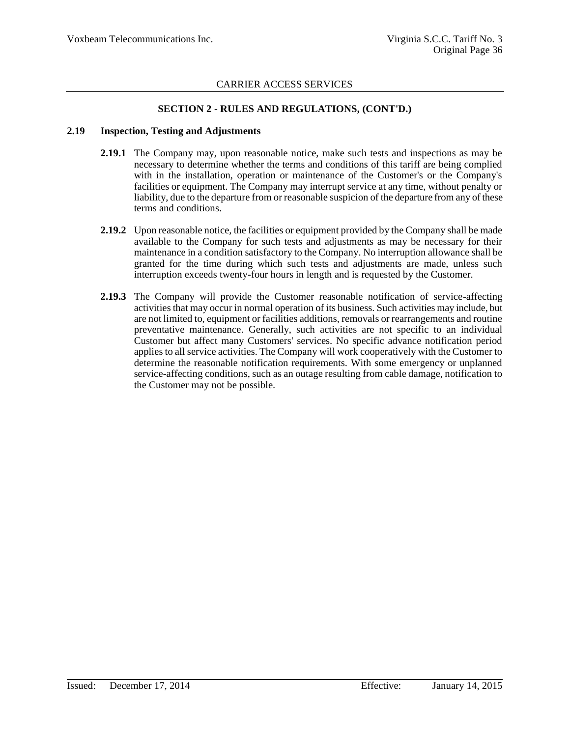### **SECTION 2 - RULES AND REGULATIONS, (CONT'D.)**

#### **2.19 Inspection, Testing and Adjustments**

- **2.19.1** The Company may, upon reasonable notice, make such tests and inspections as may be necessary to determine whether the terms and conditions of this tariff are being complied with in the installation, operation or maintenance of the Customer's or the Company's facilities or equipment. The Company may interrupt service at any time, without penalty or liability, due to the departure from or reasonable suspicion of the departure from any of these terms and conditions.
- **2.19.2** Upon reasonable notice, the facilities or equipment provided by the Company shall be made available to the Company for such tests and adjustments as may be necessary for their maintenance in a condition satisfactory to the Company. No interruption allowance shall be granted for the time during which such tests and adjustments are made, unless such interruption exceeds twenty-four hours in length and is requested by the Customer.
- **2.19.3** The Company will provide the Customer reasonable notification of service-affecting activities that may occur in normal operation of its business. Such activities may include, but are not limited to, equipment or facilities additions, removals or rearrangements and routine preventative maintenance. Generally, such activities are not specific to an individual Customer but affect many Customers' services. No specific advance notification period applies to all service activities. The Company will work cooperatively with the Customer to determine the reasonable notification requirements. With some emergency or unplanned service-affecting conditions, such as an outage resulting from cable damage, notification to the Customer may not be possible.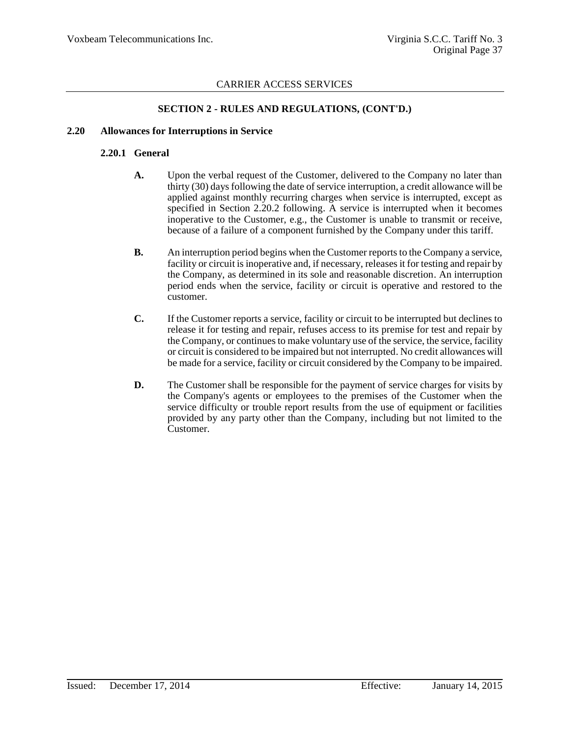### **SECTION 2 - RULES AND REGULATIONS, (CONT'D.)**

### **2.20 Allowances for Interruptions in Service**

### **2.20.1 General**

- **A.** Upon the verbal request of the Customer, delivered to the Company no later than thirty (30) days following the date of service interruption, a credit allowance will be applied against monthly recurring charges when service is interrupted, except as specified in Section 2.20.2 following. A service is interrupted when it becomes inoperative to the Customer, e.g., the Customer is unable to transmit or receive, because of a failure of a component furnished by the Company under this tariff.
- **B.** An interruption period begins when the Customer reports to the Company a service, facility or circuit is inoperative and, if necessary, releases it for testing and repair by the Company, as determined in its sole and reasonable discretion. An interruption period ends when the service, facility or circuit is operative and restored to the customer.
- **C.** If the Customer reports a service, facility or circuit to be interrupted but declines to release it for testing and repair, refuses access to its premise for test and repair by the Company, or continues to make voluntary use of the service, the service, facility or circuit is considered to be impaired but not interrupted. No credit allowances will be made for a service, facility or circuit considered by the Company to be impaired.
- **D.** The Customer shall be responsible for the payment of service charges for visits by the Company's agents or employees to the premises of the Customer when the service difficulty or trouble report results from the use of equipment or facilities provided by any party other than the Company, including but not limited to the Customer.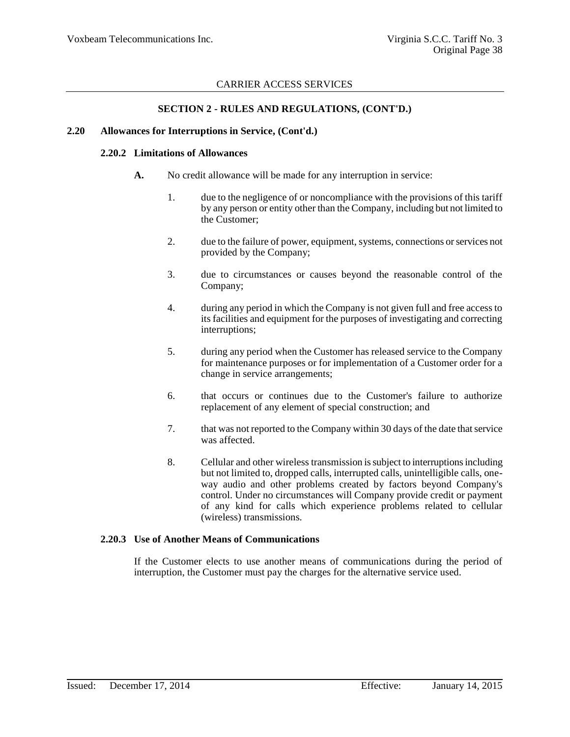### **SECTION 2 - RULES AND REGULATIONS, (CONT'D.)**

#### **2.20 Allowances for Interruptions in Service, (Cont'd.)**

#### **2.20.2 Limitations of Allowances**

- **A.** No credit allowance will be made for any interruption in service:
	- 1. due to the negligence of or noncompliance with the provisions of this tariff by any person or entity other than the Company, including but not limited to the Customer;
	- 2. due to the failure of power, equipment, systems, connections or services not provided by the Company;
	- 3. due to circumstances or causes beyond the reasonable control of the Company;
	- 4. during any period in which the Company is not given full and free access to its facilities and equipment for the purposes of investigating and correcting interruptions;
	- 5. during any period when the Customer has released service to the Company for maintenance purposes or for implementation of a Customer order for a change in service arrangements;
	- 6. that occurs or continues due to the Customer's failure to authorize replacement of any element of special construction; and
	- 7. that was not reported to the Company within 30 days of the date that service was affected.
	- 8. Cellular and other wireless transmission is subject to interruptions including but not limited to, dropped calls, interrupted calls, unintelligible calls, oneway audio and other problems created by factors beyond Company's control. Under no circumstances will Company provide credit or payment of any kind for calls which experience problems related to cellular (wireless) transmissions.

### **2.20.3 Use of Another Means of Communications**

If the Customer elects to use another means of communications during the period of interruption, the Customer must pay the charges for the alternative service used.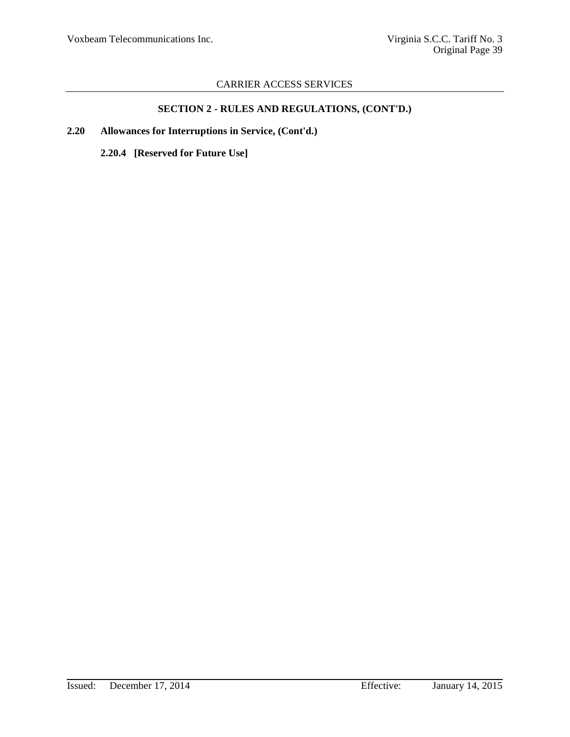# **SECTION 2 - RULES AND REGULATIONS, (CONT'D.)**

**2.20 Allowances for Interruptions in Service, (Cont'd.)**

**2.20.4 [Reserved for Future Use]**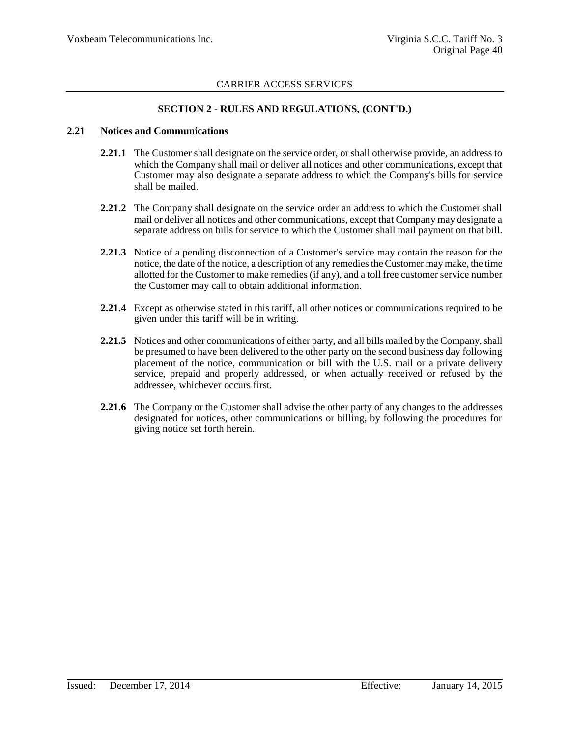### **SECTION 2 - RULES AND REGULATIONS, (CONT'D.)**

#### **2.21 Notices and Communications**

- **2.21.1** The Customer shall designate on the service order, or shall otherwise provide, an address to which the Company shall mail or deliver all notices and other communications, except that Customer may also designate a separate address to which the Company's bills for service shall be mailed.
- **2.21.2** The Company shall designate on the service order an address to which the Customer shall mail or deliver all notices and other communications, except that Company may designate a separate address on bills for service to which the Customer shall mail payment on that bill.
- **2.21.3** Notice of a pending disconnection of a Customer's service may contain the reason for the notice, the date of the notice, a description of any remedies the Customer may make, the time allotted for the Customer to make remedies (if any), and a toll free customer service number the Customer may call to obtain additional information.
- **2.21.4** Except as otherwise stated in this tariff, all other notices or communications required to be given under this tariff will be in writing.
- **2.21.5** Notices and other communications of either party, and all bills mailed by the Company, shall be presumed to have been delivered to the other party on the second business day following placement of the notice, communication or bill with the U.S. mail or a private delivery service, prepaid and properly addressed, or when actually received or refused by the addressee, whichever occurs first.
- **2.21.6** The Company or the Customer shall advise the other party of any changes to the addresses designated for notices, other communications or billing, by following the procedures for giving notice set forth herein.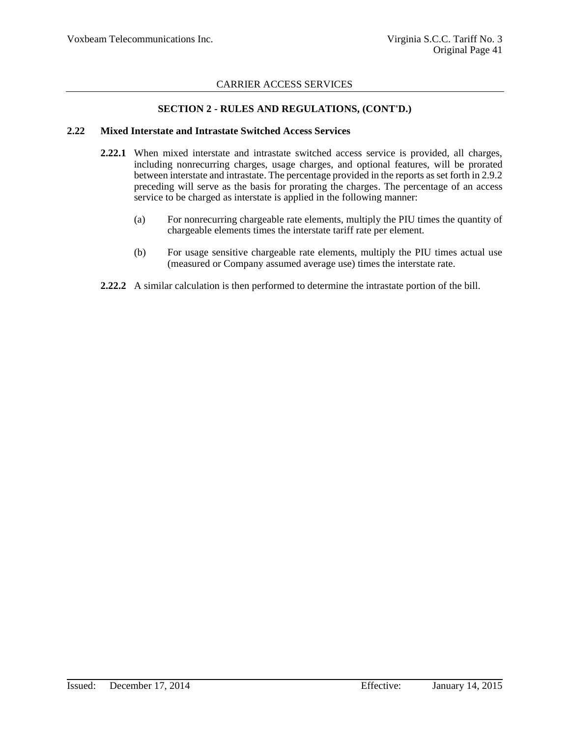### **SECTION 2 - RULES AND REGULATIONS, (CONT'D.)**

#### **2.22 Mixed Interstate and Intrastate Switched Access Services**

- **2.22.1** When mixed interstate and intrastate switched access service is provided, all charges, including nonrecurring charges, usage charges, and optional features, will be prorated between interstate and intrastate. The percentage provided in the reports as set forth in 2.9.2 preceding will serve as the basis for prorating the charges. The percentage of an access service to be charged as interstate is applied in the following manner:
	- (a) For nonrecurring chargeable rate elements, multiply the PIU times the quantity of chargeable elements times the interstate tariff rate per element.
	- (b) For usage sensitive chargeable rate elements, multiply the PIU times actual use (measured or Company assumed average use) times the interstate rate.
- **2.22.2** A similar calculation is then performed to determine the intrastate portion of the bill.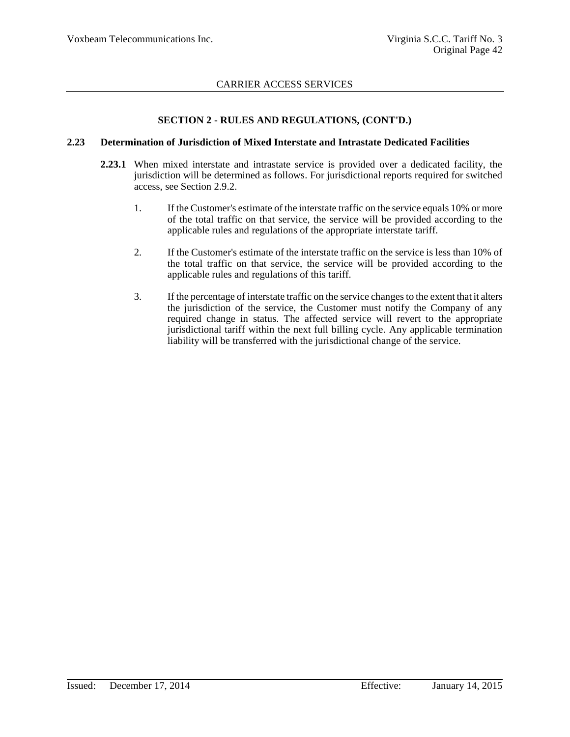### **SECTION 2 - RULES AND REGULATIONS, (CONT'D.)**

#### **2.23 Determination of Jurisdiction of Mixed Interstate and Intrastate Dedicated Facilities**

- **2.23.1** When mixed interstate and intrastate service is provided over a dedicated facility, the jurisdiction will be determined as follows. For jurisdictional reports required for switched access, see Section 2.9.2.
	- 1. If the Customer's estimate of the interstate traffic on the service equals 10% or more of the total traffic on that service, the service will be provided according to the applicable rules and regulations of the appropriate interstate tariff.
	- 2. If the Customer's estimate of the interstate traffic on the service is less than 10% of the total traffic on that service, the service will be provided according to the applicable rules and regulations of this tariff.
	- 3. If the percentage of interstate traffic on the service changes to the extent that it alters the jurisdiction of the service, the Customer must notify the Company of any required change in status. The affected service will revert to the appropriate jurisdictional tariff within the next full billing cycle. Any applicable termination liability will be transferred with the jurisdictional change of the service.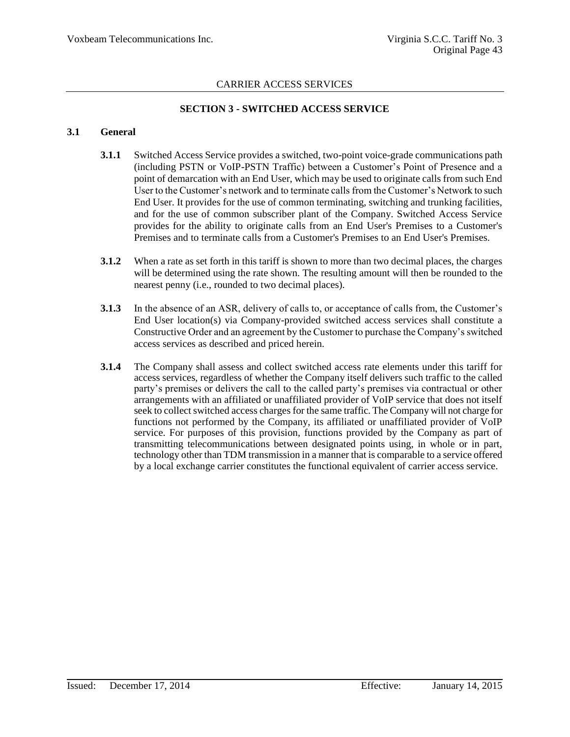### **SECTION 3 - SWITCHED ACCESS SERVICE**

#### **3.1 General**

- **3.1.1** Switched Access Service provides a switched, two-point voice-grade communications path (including PSTN or VoIP-PSTN Traffic) between a Customer's Point of Presence and a point of demarcation with an End User, which may be used to originate calls from such End User to the Customer's network and to terminate calls from the Customer's Network to such End User. It provides for the use of common terminating, switching and trunking facilities, and for the use of common subscriber plant of the Company. Switched Access Service provides for the ability to originate calls from an End User's Premises to a Customer's Premises and to terminate calls from a Customer's Premises to an End User's Premises.
- **3.1.2** When a rate as set forth in this tariff is shown to more than two decimal places, the charges will be determined using the rate shown. The resulting amount will then be rounded to the nearest penny (i.e., rounded to two decimal places).
- **3.1.3** In the absence of an ASR, delivery of calls to, or acceptance of calls from, the Customer's End User location(s) via Company-provided switched access services shall constitute a Constructive Order and an agreement by the Customer to purchase the Company's switched access services as described and priced herein.
- **3.1.4** The Company shall assess and collect switched access rate elements under this tariff for access services, regardless of whether the Company itself delivers such traffic to the called party's premises or delivers the call to the called party's premises via contractual or other arrangements with an affiliated or unaffiliated provider of VoIP service that does not itself seek to collect switched access charges for the same traffic. The Company will not charge for functions not performed by the Company, its affiliated or unaffiliated provider of VoIP service. For purposes of this provision, functions provided by the Company as part of transmitting telecommunications between designated points using, in whole or in part, technology other than TDM transmission in a manner that is comparable to a service offered by a local exchange carrier constitutes the functional equivalent of carrier access service.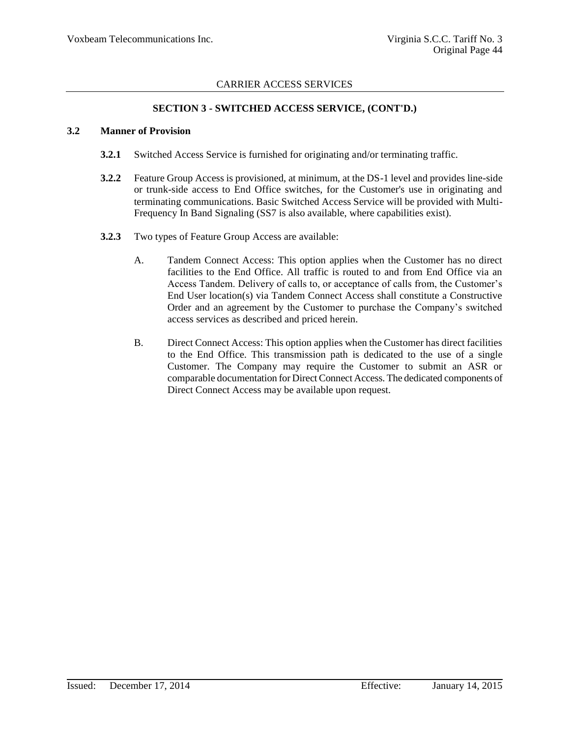### **SECTION 3 - SWITCHED ACCESS SERVICE, (CONT'D.)**

#### **3.2 Manner of Provision**

- **3.2.1** Switched Access Service is furnished for originating and/or terminating traffic.
- **3.2.2** Feature Group Access is provisioned, at minimum, at the DS-1 level and provides line-side or trunk-side access to End Office switches, for the Customer's use in originating and terminating communications. Basic Switched Access Service will be provided with Multi-Frequency In Band Signaling (SS7 is also available, where capabilities exist).
- **3.2.3** Two types of Feature Group Access are available:
	- A. Tandem Connect Access: This option applies when the Customer has no direct facilities to the End Office. All traffic is routed to and from End Office via an Access Tandem. Delivery of calls to, or acceptance of calls from, the Customer's End User location(s) via Tandem Connect Access shall constitute a Constructive Order and an agreement by the Customer to purchase the Company's switched access services as described and priced herein.
	- B. Direct Connect Access: This option applies when the Customer has direct facilities to the End Office. This transmission path is dedicated to the use of a single Customer. The Company may require the Customer to submit an ASR or comparable documentation for Direct Connect Access. The dedicated components of Direct Connect Access may be available upon request.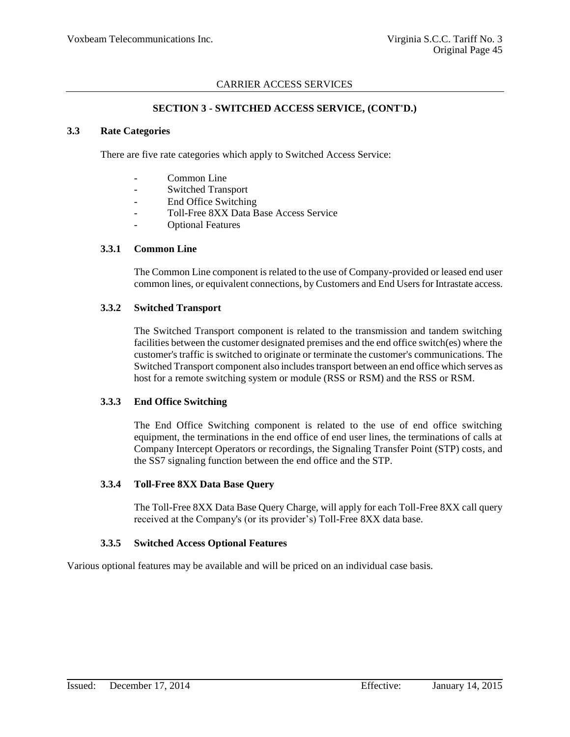### **SECTION 3 - SWITCHED ACCESS SERVICE, (CONT'D.)**

#### **3.3 Rate Categories**

There are five rate categories which apply to Switched Access Service:

- Common Line
- Switched Transport
- End Office Switching
- Toll-Free 8XX Data Base Access Service
- Optional Features

#### **3.3.1 Common Line**

The Common Line component is related to the use of Company-provided or leased end user common lines, or equivalent connections, by Customers and End Users for Intrastate access.

### **3.3.2 Switched Transport**

The Switched Transport component is related to the transmission and tandem switching facilities between the customer designated premises and the end office switch(es) where the customer's traffic is switched to originate or terminate the customer's communications. The Switched Transport component also includes transport between an end office which serves as host for a remote switching system or module (RSS or RSM) and the RSS or RSM.

### **3.3.3 End Office Switching**

The End Office Switching component is related to the use of end office switching equipment, the terminations in the end office of end user lines, the terminations of calls at Company Intercept Operators or recordings, the Signaling Transfer Point (STP) costs, and the SS7 signaling function between the end office and the STP.

#### **3.3.4 Toll-Free 8XX Data Base Query**

The Toll-Free 8XX Data Base Query Charge, will apply for each Toll-Free 8XX call query received at the Company's (or its provider's) Toll-Free 8XX data base.

### **3.3.5 Switched Access Optional Features**

Various optional features may be available and will be priced on an individual case basis.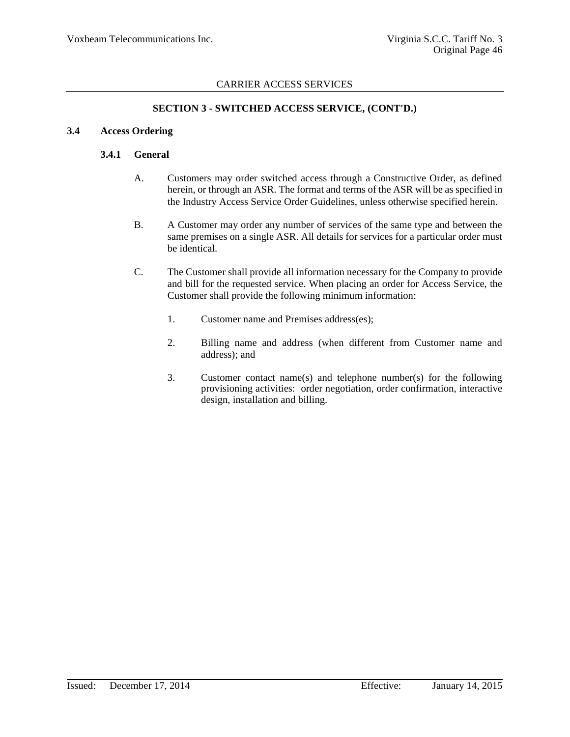### **SECTION 3 - SWITCHED ACCESS SERVICE, (CONT'D.)**

### **3.4 Access Ordering**

### **3.4.1 General**

- A. Customers may order switched access through a Constructive Order, as defined herein, or through an ASR. The format and terms of the ASR will be as specified in the Industry Access Service Order Guidelines, unless otherwise specified herein.
- B. A Customer may order any number of services of the same type and between the same premises on a single ASR. All details for services for a particular order must be identical.
- C. The Customer shall provide all information necessary for the Company to provide and bill for the requested service. When placing an order for Access Service, the Customer shall provide the following minimum information:
	- 1. Customer name and Premises address(es);
	- 2. Billing name and address (when different from Customer name and address); and
	- 3. Customer contact name(s) and telephone number(s) for the following provisioning activities: order negotiation, order confirmation, interactive design, installation and billing.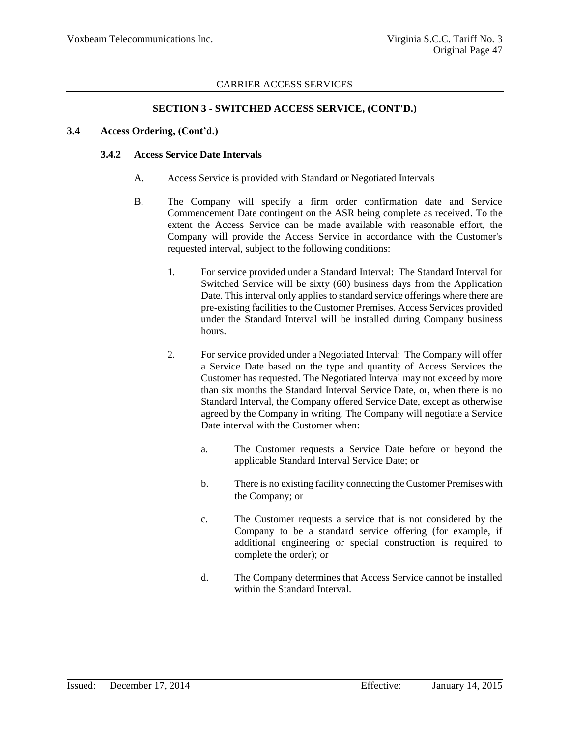### **SECTION 3 - SWITCHED ACCESS SERVICE, (CONT'D.)**

#### **3.4 Access Ordering, (Cont'd.)**

#### **3.4.2 Access Service Date Intervals**

- A. Access Service is provided with Standard or Negotiated Intervals
- B. The Company will specify a firm order confirmation date and Service Commencement Date contingent on the ASR being complete as received. To the extent the Access Service can be made available with reasonable effort, the Company will provide the Access Service in accordance with the Customer's requested interval, subject to the following conditions:
	- 1. For service provided under a Standard Interval: The Standard Interval for Switched Service will be sixty (60) business days from the Application Date. This interval only applies to standard service offerings where there are pre-existing facilities to the Customer Premises. Access Services provided under the Standard Interval will be installed during Company business hours.
	- 2. For service provided under a Negotiated Interval: The Company will offer a Service Date based on the type and quantity of Access Services the Customer has requested. The Negotiated Interval may not exceed by more than six months the Standard Interval Service Date, or, when there is no Standard Interval, the Company offered Service Date, except as otherwise agreed by the Company in writing. The Company will negotiate a Service Date interval with the Customer when:
		- a. The Customer requests a Service Date before or beyond the applicable Standard Interval Service Date; or
		- b. There is no existing facility connecting the Customer Premises with the Company; or
		- c. The Customer requests a service that is not considered by the Company to be a standard service offering (for example, if additional engineering or special construction is required to complete the order); or
		- d. The Company determines that Access Service cannot be installed within the Standard Interval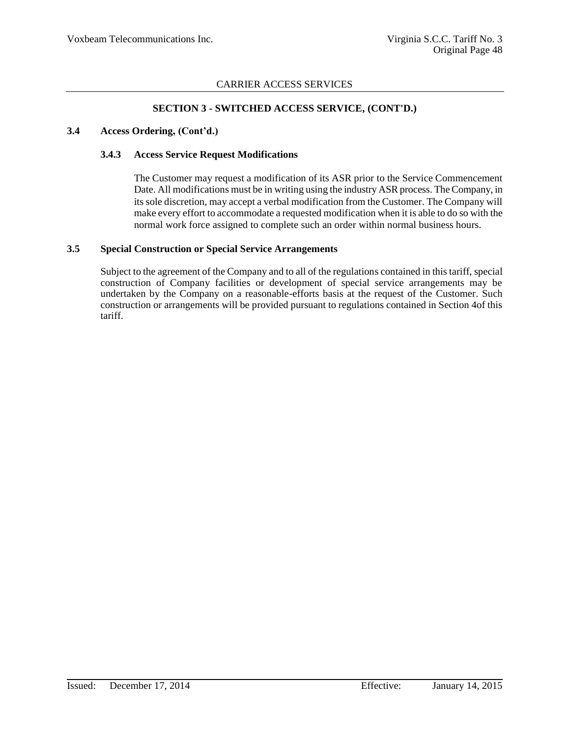### **SECTION 3 - SWITCHED ACCESS SERVICE, (CONT'D.)**

#### **3.4 Access Ordering, (Cont'd.)**

#### **3.4.3 Access Service Request Modifications**

The Customer may request a modification of its ASR prior to the Service Commencement Date. All modifications must be in writing using the industry ASR process. The Company, in its sole discretion, may accept a verbal modification from the Customer. The Company will make every effort to accommodate a requested modification when it is able to do so with the normal work force assigned to complete such an order within normal business hours.

### **3.5 Special Construction or Special Service Arrangements**

Subject to the agreement of the Company and to all of the regulations contained in this tariff, special construction of Company facilities or development of special service arrangements may be undertaken by the Company on a reasonable-efforts basis at the request of the Customer. Such construction or arrangements will be provided pursuant to regulations contained in Section 4of this tariff.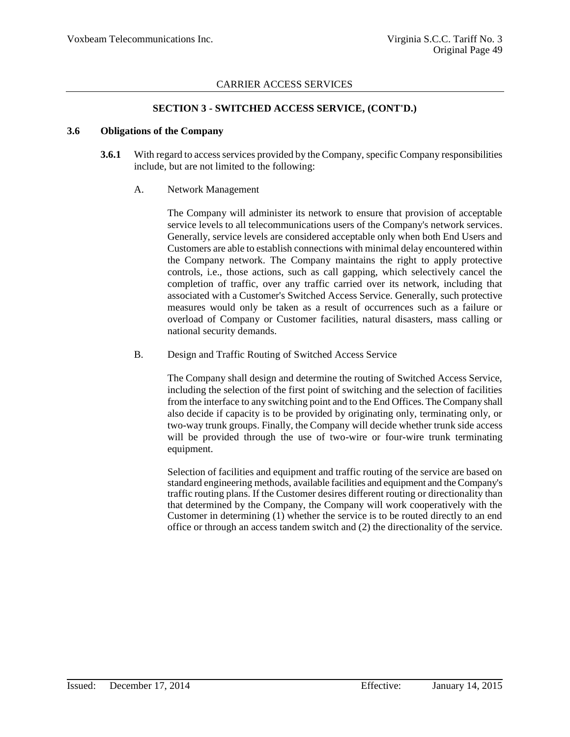### **SECTION 3 - SWITCHED ACCESS SERVICE, (CONT'D.)**

#### **3.6 Obligations of the Company**

**3.6.1** With regard to access services provided by the Company, specific Company responsibilities include, but are not limited to the following:

### A. Network Management

The Company will administer its network to ensure that provision of acceptable service levels to all telecommunications users of the Company's network services. Generally, service levels are considered acceptable only when both End Users and Customers are able to establish connections with minimal delay encountered within the Company network. The Company maintains the right to apply protective controls, i.e., those actions, such as call gapping, which selectively cancel the completion of traffic, over any traffic carried over its network, including that associated with a Customer's Switched Access Service. Generally, such protective measures would only be taken as a result of occurrences such as a failure or overload of Company or Customer facilities, natural disasters, mass calling or national security demands.

B. Design and Traffic Routing of Switched Access Service

The Company shall design and determine the routing of Switched Access Service, including the selection of the first point of switching and the selection of facilities from the interface to any switching point and to the End Offices. The Company shall also decide if capacity is to be provided by originating only, terminating only, or two-way trunk groups. Finally, the Company will decide whether trunk side access will be provided through the use of two-wire or four-wire trunk terminating equipment.

Selection of facilities and equipment and traffic routing of the service are based on standard engineering methods, available facilities and equipment and the Company's traffic routing plans. If the Customer desires different routing or directionality than that determined by the Company, the Company will work cooperatively with the Customer in determining (1) whether the service is to be routed directly to an end office or through an access tandem switch and (2) the directionality of the service.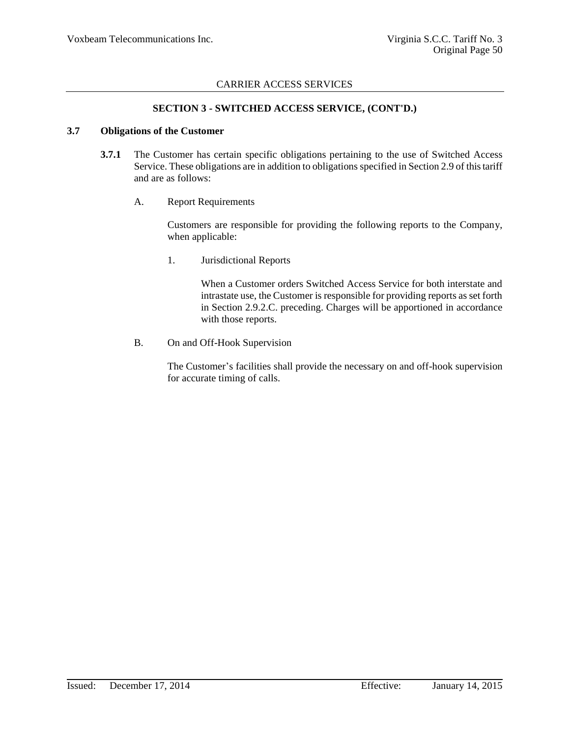### **SECTION 3 - SWITCHED ACCESS SERVICE, (CONT'D.)**

#### **3.7 Obligations of the Customer**

- **3.7.1** The Customer has certain specific obligations pertaining to the use of Switched Access Service. These obligations are in addition to obligations specified in Section 2.9 of this tariff and are as follows:
	- A. Report Requirements

Customers are responsible for providing the following reports to the Company, when applicable:

1. Jurisdictional Reports

When a Customer orders Switched Access Service for both interstate and intrastate use, the Customer is responsible for providing reports as set forth in Section 2.9.2.C. preceding. Charges will be apportioned in accordance with those reports.

B. On and Off-Hook Supervision

The Customer's facilities shall provide the necessary on and off-hook supervision for accurate timing of calls.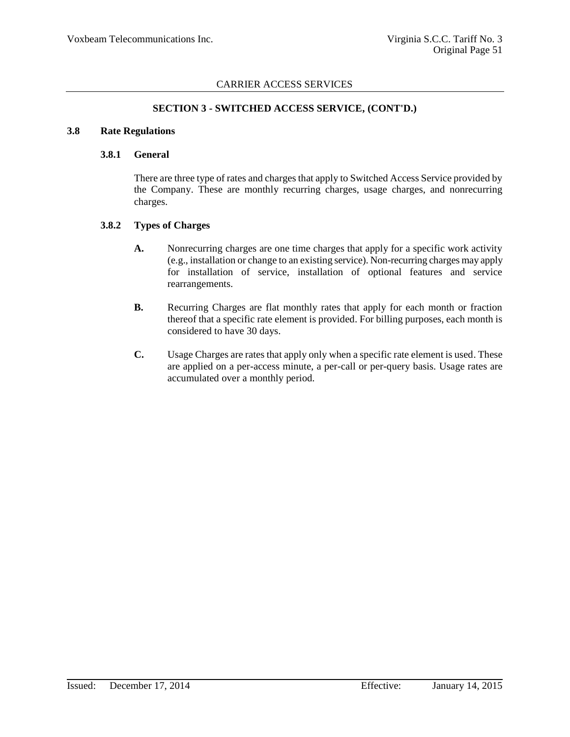### **SECTION 3 - SWITCHED ACCESS SERVICE, (CONT'D.)**

#### **3.8 Rate Regulations**

### **3.8.1 General**

There are three type of rates and charges that apply to Switched Access Service provided by the Company. These are monthly recurring charges, usage charges, and nonrecurring charges.

### **3.8.2 Types of Charges**

- **A.** Nonrecurring charges are one time charges that apply for a specific work activity (e.g., installation or change to an existing service). Non-recurring charges may apply for installation of service, installation of optional features and service rearrangements.
- **B.** Recurring Charges are flat monthly rates that apply for each month or fraction thereof that a specific rate element is provided. For billing purposes, each month is considered to have 30 days.
- **C.** Usage Charges are rates that apply only when a specific rate element is used. These are applied on a per-access minute, a per-call or per-query basis. Usage rates are accumulated over a monthly period.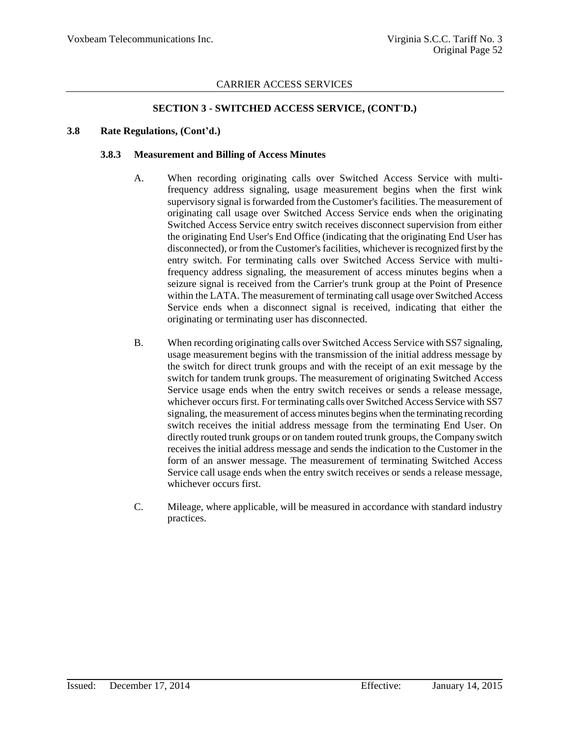### **SECTION 3 - SWITCHED ACCESS SERVICE, (CONT'D.)**

#### **3.8 Rate Regulations, (Cont'd.)**

#### **3.8.3 Measurement and Billing of Access Minutes**

- A. When recording originating calls over Switched Access Service with multifrequency address signaling, usage measurement begins when the first wink supervisory signal is forwarded from the Customer's facilities. The measurement of originating call usage over Switched Access Service ends when the originating Switched Access Service entry switch receives disconnect supervision from either the originating End User's End Office (indicating that the originating End User has disconnected), or from the Customer's facilities, whichever is recognized first by the entry switch. For terminating calls over Switched Access Service with multifrequency address signaling, the measurement of access minutes begins when a seizure signal is received from the Carrier's trunk group at the Point of Presence within the LATA. The measurement of terminating call usage over Switched Access Service ends when a disconnect signal is received, indicating that either the originating or terminating user has disconnected.
- B. When recording originating calls over Switched Access Service with SS7 signaling, usage measurement begins with the transmission of the initial address message by the switch for direct trunk groups and with the receipt of an exit message by the switch for tandem trunk groups. The measurement of originating Switched Access Service usage ends when the entry switch receives or sends a release message, whichever occurs first. For terminating calls over Switched Access Service with SS7 signaling, the measurement of access minutes begins when the terminating recording switch receives the initial address message from the terminating End User. On directly routed trunk groups or on tandem routed trunk groups, the Company switch receives the initial address message and sends the indication to the Customer in the form of an answer message. The measurement of terminating Switched Access Service call usage ends when the entry switch receives or sends a release message, whichever occurs first.
- C. Mileage, where applicable, will be measured in accordance with standard industry practices.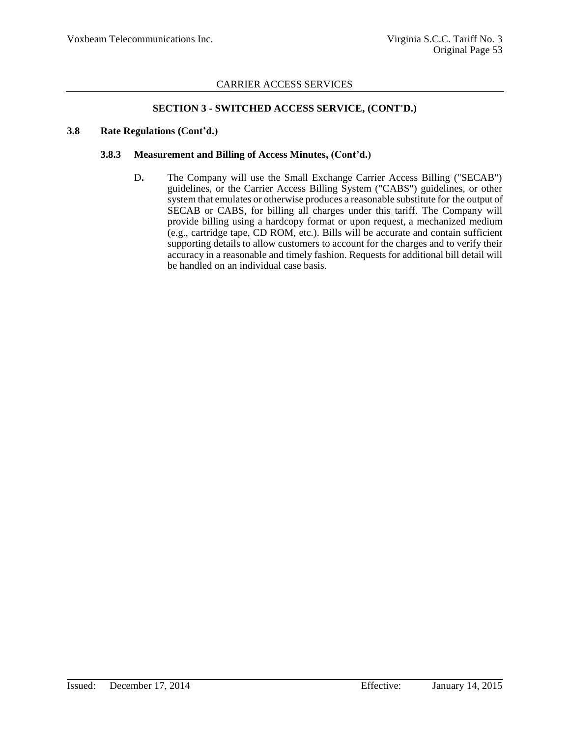### **SECTION 3 - SWITCHED ACCESS SERVICE, (CONT'D.)**

#### **3.8 Rate Regulations (Cont'd.)**

#### **3.8.3 Measurement and Billing of Access Minutes, (Cont'd.)**

D**.** The Company will use the Small Exchange Carrier Access Billing ("SECAB") guidelines, or the Carrier Access Billing System ("CABS") guidelines, or other system that emulates or otherwise produces a reasonable substitute for the output of SECAB or CABS, for billing all charges under this tariff. The Company will provide billing using a hardcopy format or upon request, a mechanized medium (e.g., cartridge tape, CD ROM, etc.). Bills will be accurate and contain sufficient supporting details to allow customers to account for the charges and to verify their accuracy in a reasonable and timely fashion. Requests for additional bill detail will be handled on an individual case basis.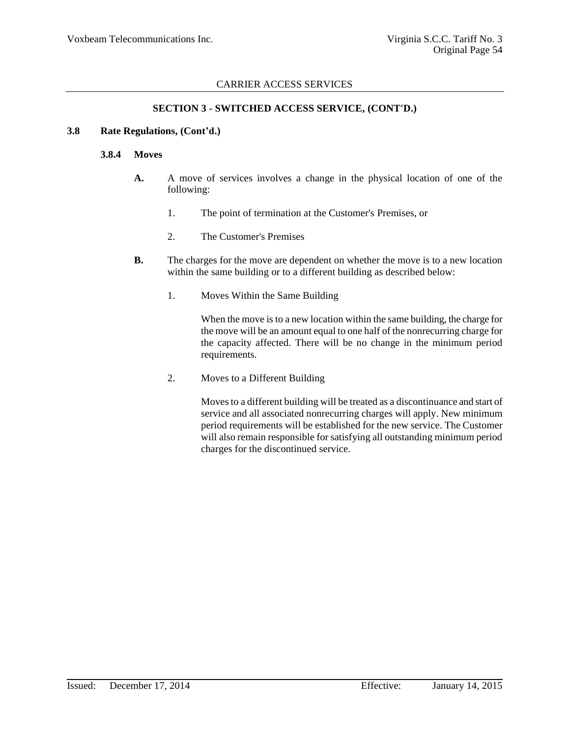### **SECTION 3 - SWITCHED ACCESS SERVICE, (CONT'D.)**

#### **3.8 Rate Regulations, (Cont'd.)**

#### **3.8.4 Moves**

- **A.** A move of services involves a change in the physical location of one of the following:
	- 1. The point of termination at the Customer's Premises, or
	- 2. The Customer's Premises
- **B.** The charges for the move are dependent on whether the move is to a new location within the same building or to a different building as described below:
	- 1. Moves Within the Same Building

When the move is to a new location within the same building, the charge for the move will be an amount equal to one half of the nonrecurring charge for the capacity affected. There will be no change in the minimum period requirements.

2. Moves to a Different Building

Moves to a different building will be treated as a discontinuance and start of service and all associated nonrecurring charges will apply. New minimum period requirements will be established for the new service. The Customer will also remain responsible for satisfying all outstanding minimum period charges for the discontinued service.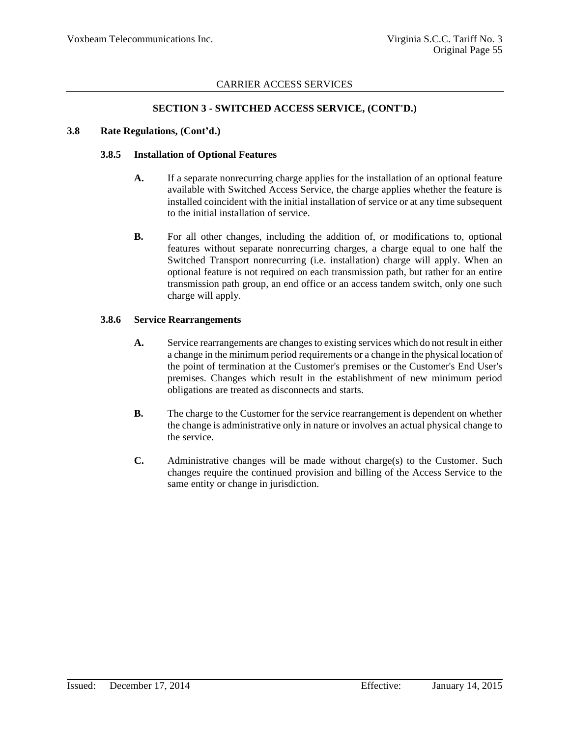### **SECTION 3 - SWITCHED ACCESS SERVICE, (CONT'D.)**

#### **3.8 Rate Regulations, (Cont'd.)**

#### **3.8.5 Installation of Optional Features**

- **A.** If a separate nonrecurring charge applies for the installation of an optional feature available with Switched Access Service, the charge applies whether the feature is installed coincident with the initial installation of service or at any time subsequent to the initial installation of service.
- **B.** For all other changes, including the addition of, or modifications to, optional features without separate nonrecurring charges, a charge equal to one half the Switched Transport nonrecurring (i.e. installation) charge will apply. When an optional feature is not required on each transmission path, but rather for an entire transmission path group, an end office or an access tandem switch, only one such charge will apply.

#### **3.8.6 Service Rearrangements**

- **A.** Service rearrangements are changes to existing services which do not result in either a change in the minimum period requirements or a change in the physical location of the point of termination at the Customer's premises or the Customer's End User's premises. Changes which result in the establishment of new minimum period obligations are treated as disconnects and starts.
- **B.** The charge to the Customer for the service rearrangement is dependent on whether the change is administrative only in nature or involves an actual physical change to the service.
- **C.** Administrative changes will be made without charge(s) to the Customer. Such changes require the continued provision and billing of the Access Service to the same entity or change in jurisdiction.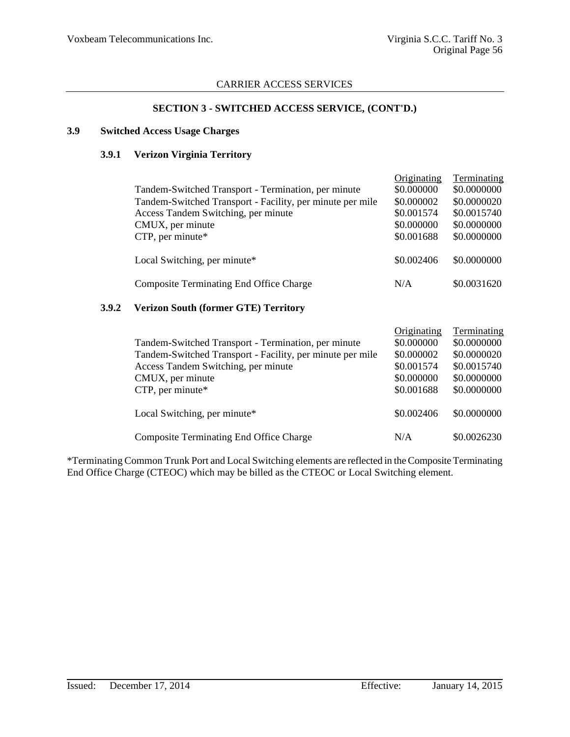### **SECTION 3 - SWITCHED ACCESS SERVICE, (CONT'D.)**

#### **3.9 Switched Access Usage Charges**

### **3.9.1 Verizon Virginia Territory**

| Tandem-Switched Transport - Termination, per minute<br>Tandem-Switched Transport - Facility, per minute per mile<br>Access Tandem Switching, per minute<br>CMUX, per minute<br>CTP, per minute* | Originating<br>\$0.000000<br>\$0.000002<br>\$0.001574<br>\$0.000000<br>\$0.001688 | Terminating<br>\$0.0000000<br>\$0.0000020<br>\$0.0015740<br>\$0.0000000<br>\$0.0000000 |
|-------------------------------------------------------------------------------------------------------------------------------------------------------------------------------------------------|-----------------------------------------------------------------------------------|----------------------------------------------------------------------------------------|
| Local Switching, per minute*                                                                                                                                                                    | \$0.002406                                                                        | \$0.0000000                                                                            |
| <b>Composite Terminating End Office Charge</b>                                                                                                                                                  | N/A                                                                               | \$0.0031620                                                                            |
|                                                                                                                                                                                                 |                                                                                   |                                                                                        |

# **3.9.2 Verizon South (former GTE) Territory**

| Tandem-Switched Transport - Termination, per minute<br>Tandem-Switched Transport - Facility, per minute per mile<br>Access Tandem Switching, per minute<br>CMUX, per minute<br>$CTP$ , per minute* | Originating<br>\$0.000000<br>\$0.000002<br>\$0.001574<br>\$0.000000<br>\$0.001688 | Terminating<br>\$0.0000000<br>\$0.0000020<br>\$0.0015740<br>\$0.0000000<br>\$0.0000000 |
|----------------------------------------------------------------------------------------------------------------------------------------------------------------------------------------------------|-----------------------------------------------------------------------------------|----------------------------------------------------------------------------------------|
| Local Switching, per minute*                                                                                                                                                                       | \$0.002406                                                                        | \$0.0000000                                                                            |
| <b>Composite Terminating End Office Charge</b>                                                                                                                                                     | N/A                                                                               | \$0.0026230                                                                            |

\*Terminating Common Trunk Port and Local Switching elements are reflected in the Composite Terminating End Office Charge (CTEOC) which may be billed as the CTEOC or Local Switching element.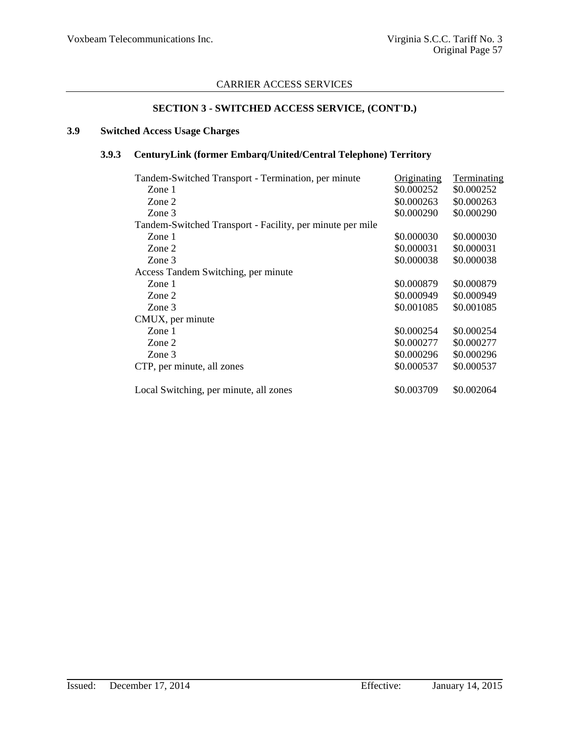# **SECTION 3 - SWITCHED ACCESS SERVICE, (CONT'D.)**

# **3.9 Switched Access Usage Charges**

# **3.9.3 CenturyLink (former Embarq/United/Central Telephone) Territory**

| Tandem-Switched Transport - Termination, per minute       | Originating | Terminating |
|-----------------------------------------------------------|-------------|-------------|
| Zone 1                                                    | \$0.000252  | \$0.000252  |
| Zone 2                                                    | \$0.000263  | \$0.000263  |
| Zone 3                                                    | \$0.000290  | \$0.000290  |
| Tandem-Switched Transport - Facility, per minute per mile |             |             |
| Zone 1                                                    | \$0.000030  | \$0.000030  |
| Zone 2                                                    | \$0.000031  | \$0.000031  |
| Zone 3                                                    | \$0.000038  | \$0.000038  |
| Access Tandem Switching, per minute                       |             |             |
| Zone $1$                                                  | \$0.000879  | \$0.000879  |
| Zone 2                                                    | \$0.000949  | \$0.000949  |
| Zone 3                                                    | \$0.001085  | \$0.001085  |
| CMUX, per minute                                          |             |             |
| Zone 1                                                    | \$0.000254  | \$0.000254  |
| Zone 2                                                    | \$0.000277  | \$0.000277  |
| Zone 3                                                    | \$0.000296  | \$0.000296  |
| CTP, per minute, all zones                                | \$0.000537  | \$0.000537  |
| Local Switching, per minute, all zones                    | \$0.003709  | \$0.002064  |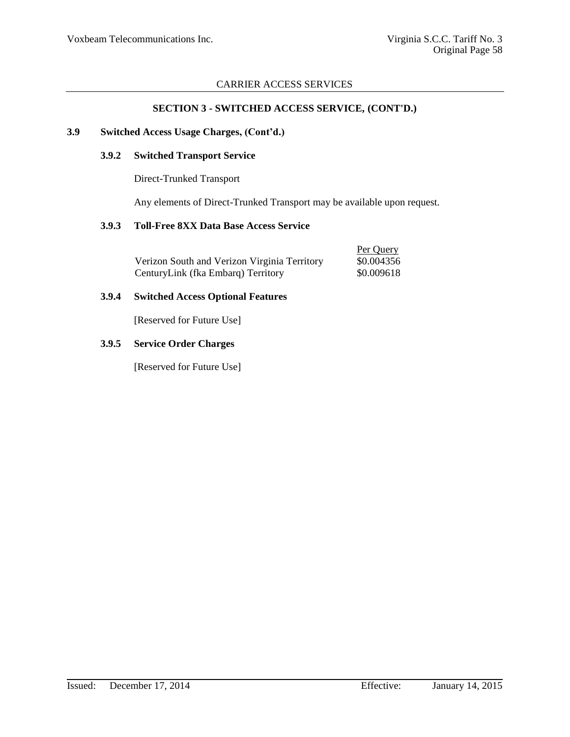# **SECTION 3 - SWITCHED ACCESS SERVICE, (CONT'D.)**

#### **3.9 Switched Access Usage Charges, (Cont'd.)**

### **3.9.2 Switched Transport Service**

Direct-Trunked Transport

Any elements of Direct-Trunked Transport may be available upon request.

### **3.9.3 Toll-Free 8XX Data Base Access Service**

|                                              | Per Query  |
|----------------------------------------------|------------|
| Verizon South and Verizon Virginia Territory | \$0.004356 |
| CenturyLink (fka Embarq) Territory           | \$0.009618 |

#### **3.9.4 Switched Access Optional Features**

[Reserved for Future Use]

### **3.9.5 Service Order Charges**

[Reserved for Future Use]